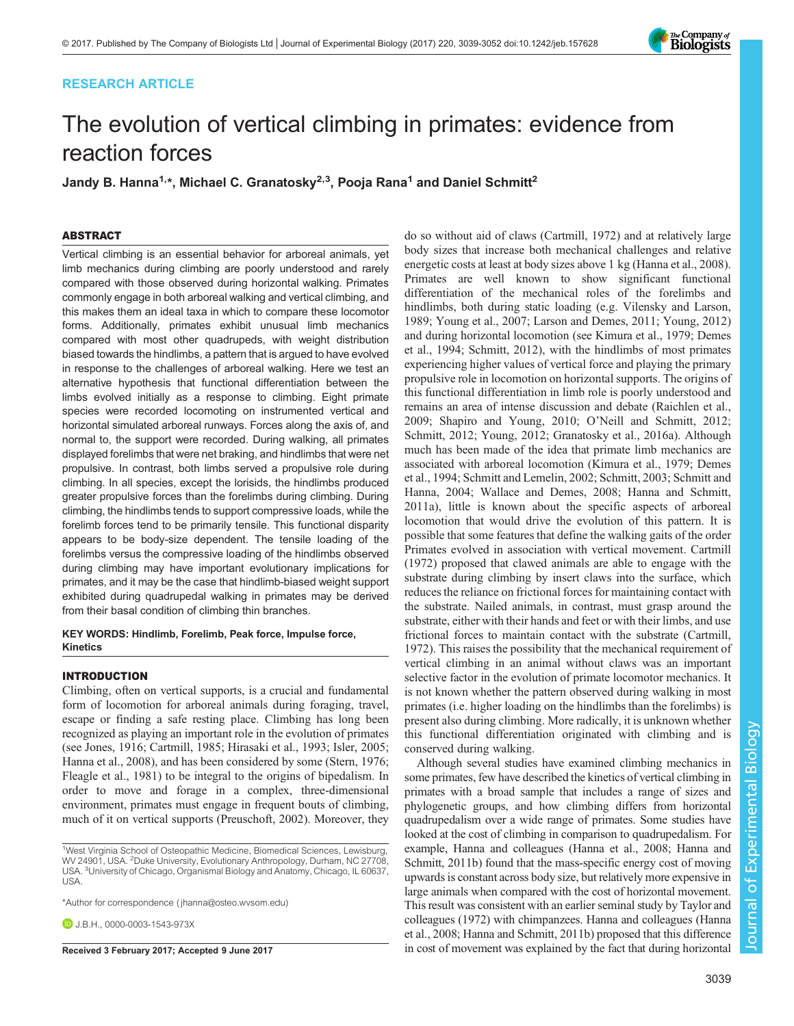# RESEARCH ARTICLE



# The evolution of vertical climbing in primates: evidence from reaction forces

Jandy B. Hanna<sup>1,\*</sup>, Michael C. Granatosky<sup>2,3</sup>, Pooja Rana<sup>1</sup> and Daniel Schmitt<sup>2</sup>

# ABSTRACT

Vertical climbing is an essential behavior for arboreal animals, yet limb mechanics during climbing are poorly understood and rarely compared with those observed during horizontal walking. Primates commonly engage in both arboreal walking and vertical climbing, and this makes them an ideal taxa in which to compare these locomotor forms. Additionally, primates exhibit unusual limb mechanics compared with most other quadrupeds, with weight distribution biased towards the hindlimbs, a pattern that is argued to have evolved in response to the challenges of arboreal walking. Here we test an alternative hypothesis that functional differentiation between the limbs evolved initially as a response to climbing. Eight primate species were recorded locomoting on instrumented vertical and horizontal simulated arboreal runways. Forces along the axis of, and normal to, the support were recorded. During walking, all primates displayed forelimbs that were net braking, and hindlimbs that were net propulsive. In contrast, both limbs served a propulsive role during climbing. In all species, except the lorisids, the hindlimbs produced greater propulsive forces than the forelimbs during climbing. During climbing, the hindlimbs tends to support compressive loads, while the forelimb forces tend to be primarily tensile. This functional disparity appears to be body-size dependent. The tensile loading of the forelimbs versus the compressive loading of the hindlimbs observed during climbing may have important evolutionary implications for primates, and it may be the case that hindlimb-biased weight support exhibited during quadrupedal walking in primates may be derived from their basal condition of climbing thin branches.

KEY WORDS: Hindlimb, Forelimb, Peak force, Impulse force, Kinetics

## INTRODUCTION

Climbing, often on vertical supports, is a crucial and fundamental form of locomotion for arboreal animals during foraging, travel, escape or finding a safe resting place. Climbing has long been recognized as playing an important role in the evolution of primates (see [Jones, 1916](#page-12-0); [Cartmill, 1985; Hirasaki et al., 1993; Isler, 2005](#page-12-0); [Hanna et al., 2008](#page-12-0)), and has been considered by some [\(Stern, 1976](#page-13-0); [Fleagle et al., 1981\)](#page-12-0) to be integral to the origins of bipedalism. In order to move and forage in a complex, three-dimensional environment, primates must engage in frequent bouts of climbing, much of it on vertical supports [\(Preuschoft, 2002](#page-13-0)). Moreover, they

\*Author for correspondence [\( jhanna@osteo.wvsom.edu](mailto:jhanna@osteo.wvsom.edu))

**D.** J.B.H., [0000-0003-1543-973X](http://orcid.org/0000-0003-1543-973X)

do so without aid of claws ([Cartmill, 1972](#page-12-0)) and at relatively large body sizes that increase both mechanical challenges and relative energetic costs at least at body sizes above 1 kg ([Hanna et al., 2008\)](#page-12-0). Primates are well known to show significant functional differentiation of the mechanical roles of the forelimbs and hindlimbs, both during static loading (e.g. [Vilensky and Larson,](#page-13-0) [1989; Young et al., 2007](#page-13-0); [Larson and Demes, 2011](#page-13-0); [Young, 2012\)](#page-13-0) and during horizontal locomotion (see [Kimura et al., 1979; Demes](#page-12-0) [et al., 1994;](#page-12-0) [Schmitt, 2012](#page-13-0)), with the hindlimbs of most primates experiencing higher values of vertical force and playing the primary propulsive role in locomotion on horizontal supports. The origins of this functional differentiation in limb role is poorly understood and remains an area of intense discussion and debate ([Raichlen et al.,](#page-13-0) [2009; Shapiro and Young, 2010;](#page-13-0) O'[Neill and Schmitt, 2012](#page-13-0); [Schmitt, 2012; Young, 2012](#page-13-0); [Granatosky et al., 2016a\)](#page-12-0). Although much has been made of the idea that primate limb mechanics are associated with arboreal locomotion ([Kimura et al., 1979](#page-12-0); [Demes](#page-12-0) [et al., 1994;](#page-12-0) [Schmitt and Lemelin, 2002](#page-13-0); [Schmitt, 2003; Schmitt and](#page-13-0) [Hanna, 2004; Wallace and Demes, 2008;](#page-13-0) [Hanna and Schmitt,](#page-12-0) [2011a](#page-12-0)), little is known about the specific aspects of arboreal locomotion that would drive the evolution of this pattern. It is possible that some features that define the walking gaits of the order Primates evolved in association with vertical movement. [Cartmill](#page-12-0) [\(1972\)](#page-12-0) proposed that clawed animals are able to engage with the substrate during climbing by insert claws into the surface, which reduces the reliance on frictional forces for maintaining contact with the substrate. Nailed animals, in contrast, must grasp around the substrate, either with their hands and feet or with their limbs, and use frictional forces to maintain contact with the substrate [\(Cartmill,](#page-12-0) [1972\)](#page-12-0). This raises the possibility that the mechanical requirement of vertical climbing in an animal without claws was an important selective factor in the evolution of primate locomotor mechanics. It is not known whether the pattern observed during walking in most primates (i.e. higher loading on the hindlimbs than the forelimbs) is present also during climbing. More radically, it is unknown whether this functional differentiation originated with climbing and is conserved during walking.

Although several studies have examined climbing mechanics in some primates, few have described the kinetics of vertical climbing in primates with a broad sample that includes a range of sizes and phylogenetic groups, and how climbing differs from horizontal quadrupedalism over a wide range of primates. Some studies have looked at the cost of climbing in comparison to quadrupedalism. For example, [Hanna and colleagues \(Hanna et al., 2008](#page-12-0); [Hanna and](#page-12-0) [Schmitt, 2011b\)](#page-12-0) found that the mass-specific energy cost of moving upwards is constant across body size, but relatively more expensive in large animals when compared with the cost of horizontal movement. This result was consistent with an earlier seminal study by [Taylor and](#page-13-0) [colleagues \(1972\)](#page-13-0) with chimpanzees. [Hanna and colleagues \(Hanna](#page-12-0) [et al., 2008; Hanna and Schmitt, 2011b](#page-12-0)) proposed that this difference Received 3 February 2017; Accepted 9 June 2017 in cost of movement was explained by the fact that during horizontal

<sup>&</sup>lt;sup>1</sup>West Virginia School of Osteopathic Medicine, Biomedical Sciences, Lewisburg, WV 24901, USA. <sup>2</sup>Duke University, Evolutionary Anthropology, Durham, NC 27708, USA. <sup>3</sup>University of Chicago, Organismal Biology and Anatomy, Chicago, IL 60637, **USA**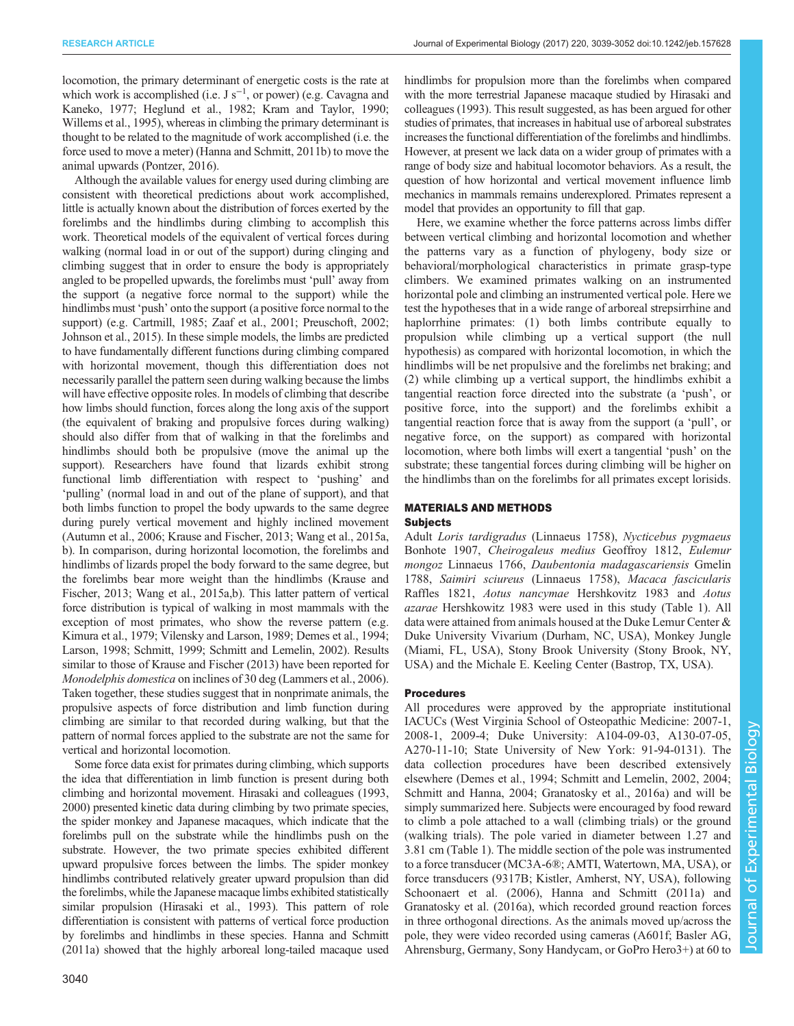locomotion, the primary determinant of energetic costs is the rate at which work is accomplished (i.e.  $J s^{-1}$ , or power) (e.g. [Cavagna and](#page-12-0) [Kaneko, 1977; Heglund et al., 1982;](#page-12-0) [Kram and Taylor, 1990](#page-13-0); [Willems et al., 1995](#page-13-0)), whereas in climbing the primary determinant is thought to be related to the magnitude of work accomplished (i.e. the force used to move a meter) [\(Hanna and Schmitt, 2011b](#page-12-0)) to move the animal upwards [\(Pontzer, 2016\)](#page-13-0).

Although the available values for energy used during climbing are consistent with theoretical predictions about work accomplished, little is actually known about the distribution of forces exerted by the forelimbs and the hindlimbs during climbing to accomplish this work. Theoretical models of the equivalent of vertical forces during walking (normal load in or out of the support) during clinging and climbing suggest that in order to ensure the body is appropriately angled to be propelled upwards, the forelimbs must 'pull' away from the support (a negative force normal to the support) while the hindlimbs must 'push' onto the support (a positive force normal to the support) (e.g. [Cartmill, 1985](#page-12-0); [Zaaf et al., 2001; Preuschoft, 2002](#page-13-0); [Johnson et al., 2015](#page-12-0)). In these simple models, the limbs are predicted to have fundamentally different functions during climbing compared with horizontal movement, though this differentiation does not necessarily parallel the pattern seen during walking because the limbs will have effective opposite roles. In models of climbing that describe how limbs should function, forces along the long axis of the support (the equivalent of braking and propulsive forces during walking) should also differ from that of walking in that the forelimbs and hindlimbs should both be propulsive (move the animal up the support). Researchers have found that lizards exhibit strong functional limb differentiation with respect to 'pushing' and 'pulling' (normal load in and out of the plane of support), and that both limbs function to propel the body upwards to the same degree during purely vertical movement and highly inclined movement [\(Autumn et al., 2006;](#page-12-0) [Krause and Fischer, 2013; Wang et al., 2015a,](#page-13-0) [b\)](#page-13-0). In comparison, during horizontal locomotion, the forelimbs and hindlimbs of lizards propel the body forward to the same degree, but the forelimbs bear more weight than the hindlimbs [\(Krause and](#page-13-0) [Fischer, 2013](#page-13-0); [Wang et al., 2015a,b\)](#page-13-0). This latter pattern of vertical force distribution is typical of walking in most mammals with the exception of most primates, who show the reverse pattern (e.g. [Kimura et al., 1979](#page-12-0); [Vilensky and Larson, 1989;](#page-13-0) [Demes et al., 1994](#page-12-0); [Larson, 1998; Schmitt, 1999; Schmitt and Lemelin, 2002\)](#page-13-0). Results similar to those of [Krause and Fischer \(2013\)](#page-13-0) have been reported for Monodelphis domestica on inclines of 30 deg ([Lammers et al., 2006\)](#page-13-0). Taken together, these studies suggest that in nonprimate animals, the propulsive aspects of force distribution and limb function during climbing are similar to that recorded during walking, but that the pattern of normal forces applied to the substrate are not the same for vertical and horizontal locomotion.

Some force data exist for primates during climbing, which supports the idea that differentiation in limb function is present during both climbing and horizontal movement. [Hirasaki and colleagues \(1993,](#page-12-0) [2000\)](#page-12-0) presented kinetic data during climbing by two primate species, the spider monkey and Japanese macaques, which indicate that the forelimbs pull on the substrate while the hindlimbs push on the substrate. However, the two primate species exhibited different upward propulsive forces between the limbs. The spider monkey hindlimbs contributed relatively greater upward propulsion than did the forelimbs, while the Japanese macaque limbs exhibited statistically similar propulsion [\(Hirasaki et al., 1993\)](#page-12-0). This pattern of role differentiation is consistent with patterns of vertical force production by forelimbs and hindlimbs in these species. [Hanna and Schmitt](#page-12-0) [\(2011a\)](#page-12-0) showed that the highly arboreal long-tailed macaque used

hindlimbs for propulsion more than the forelimbs when compared with the more terrestrial Japanese macaque studied by [Hirasaki and](#page-12-0) [colleagues \(1993\).](#page-12-0) This result suggested, as has been argued for other studies of primates, that increases in habitual use of arboreal substrates increases the functional differentiation of the forelimbs and hindlimbs. However, at present we lack data on a wider group of primates with a range of body size and habitual locomotor behaviors. As a result, the question of how horizontal and vertical movement influence limb mechanics in mammals remains underexplored. Primates represent a model that provides an opportunity to fill that gap.

Here, we examine whether the force patterns across limbs differ between vertical climbing and horizontal locomotion and whether the patterns vary as a function of phylogeny, body size or behavioral/morphological characteristics in primate grasp-type climbers. We examined primates walking on an instrumented horizontal pole and climbing an instrumented vertical pole. Here we test the hypotheses that in a wide range of arboreal strepsirrhine and haplorrhine primates: (1) both limbs contribute equally to propulsion while climbing up a vertical support (the null hypothesis) as compared with horizontal locomotion, in which the hindlimbs will be net propulsive and the forelimbs net braking; and (2) while climbing up a vertical support, the hindlimbs exhibit a tangential reaction force directed into the substrate (a 'push', or positive force, into the support) and the forelimbs exhibit a tangential reaction force that is away from the support (a 'pull', or negative force, on the support) as compared with horizontal locomotion, where both limbs will exert a tangential 'push' on the substrate; these tangential forces during climbing will be higher on the hindlimbs than on the forelimbs for all primates except lorisids.

#### MATERIALS AND METHODS Subjects

Adult Loris tardigradus (Linnaeus 1758), Nycticebus pygmaeus Bonhote 1907, Cheirogaleus medius Geoffroy 1812, Eulemur mongoz Linnaeus 1766, Daubentonia madagascariensis Gmelin 1788, Saimiri sciureus (Linnaeus 1758), Macaca fascicularis Raffles 1821, Aotus nancymae Hershkovitz 1983 and Aotus azarae Hershkowitz 1983 were used in this study [\(Table 1\)](#page-2-0). All data were attained from animals housed at the Duke Lemur Center & Duke University Vivarium (Durham, NC, USA), Monkey Jungle (Miami, FL, USA), Stony Brook University (Stony Brook, NY, USA) and the Michale E. Keeling Center (Bastrop, TX, USA).

## Procedures

All procedures were approved by the appropriate institutional IACUCs (West Virginia School of Osteopathic Medicine: 2007-1, 2008-1, 2009-4; Duke University: A104-09-03, A130-07-05, A270-11-10; State University of New York: 91-94-0131). The data collection procedures have been described extensively elsewhere [\(Demes et al., 1994](#page-12-0); [Schmitt and Lemelin, 2002](#page-13-0), [2004](#page-13-0); [Schmitt and Hanna, 2004;](#page-13-0) [Granatosky et al., 2016a\)](#page-12-0) and will be simply summarized here. Subjects were encouraged by food reward to climb a pole attached to a wall (climbing trials) or the ground (walking trials). The pole varied in diameter between 1.27 and 3.81 cm ([Table 1\)](#page-2-0). The middle section of the pole was instrumented to a force transducer (MC3A-6®; AMTI, Watertown, MA, USA), or force transducers (9317B; Kistler, Amherst, NY, USA), following [Schoonaert et al. \(2006\)](#page-13-0), [Hanna and Schmitt \(2011a\)](#page-12-0) and [Granatosky et al. \(2016a\)](#page-12-0), which recorded ground reaction forces in three orthogonal directions. As the animals moved up/across the pole, they were video recorded using cameras (A601f; Basler AG, Ahrensburg, Germany, Sony Handycam, or GoPro Hero3+) at 60 to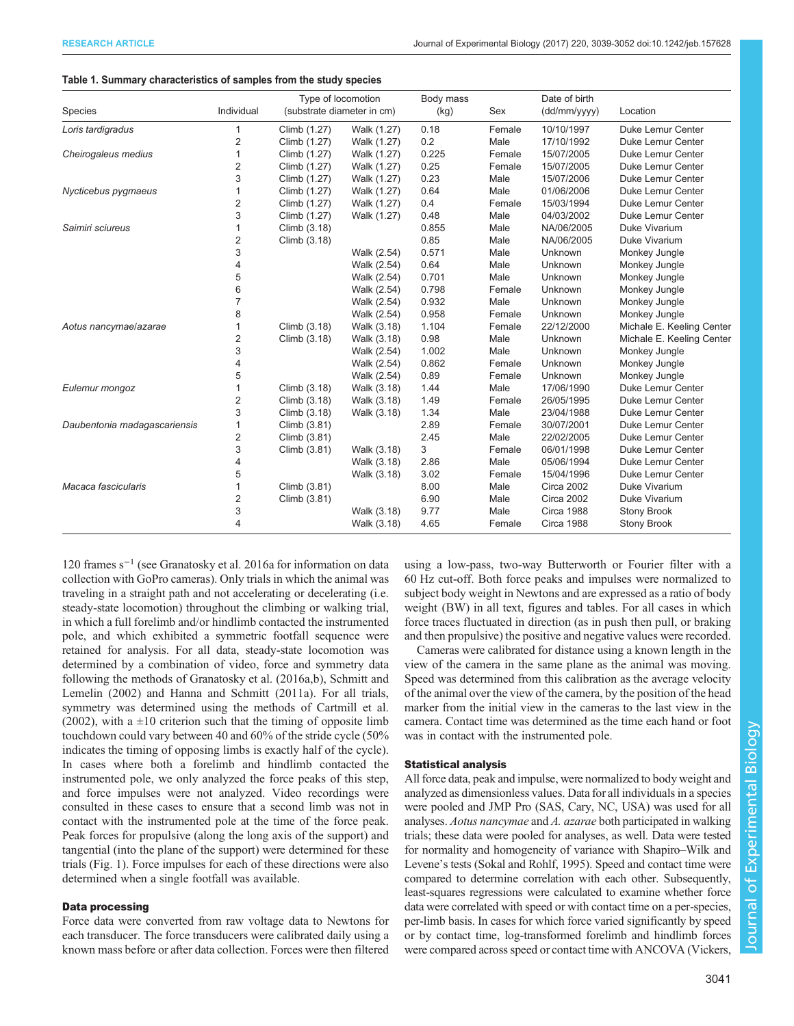#### <span id="page-2-0"></span>Table 1. Summary characteristics of samples from the study species

| Species                      | Individual     | Type of locomotion<br>(substrate diameter in cm) |             | Body mass<br>(kg) | Sex    | Date of birth<br>(dd/mm/yyyy) | Location                  |
|------------------------------|----------------|--------------------------------------------------|-------------|-------------------|--------|-------------------------------|---------------------------|
| Loris tardigradus            |                | Climb (1.27)                                     | Walk (1.27) | 0.18              | Female | 10/10/1997                    | <b>Duke Lemur Center</b>  |
|                              | $\overline{2}$ | Climb (1.27)                                     | Walk (1.27) | 0.2               | Male   | 17/10/1992                    | Duke Lemur Center         |
| Cheirogaleus medius          | 1              | Climb (1.27)                                     | Walk (1.27) | 0.225             | Female | 15/07/2005                    | Duke Lemur Center         |
|                              | $\overline{2}$ | Climb (1.27)                                     | Walk (1.27) | 0.25              | Female | 15/07/2005                    | Duke Lemur Center         |
|                              | 3              | Climb (1.27)                                     | Walk (1.27) | 0.23              | Male   | 15/07/2006                    | Duke Lemur Center         |
| Nycticebus pygmaeus          | 1              | Climb (1.27)                                     | Walk (1.27) | 0.64              | Male   | 01/06/2006                    | Duke Lemur Center         |
|                              | $\overline{2}$ | Climb (1.27)                                     | Walk (1.27) | 0.4               | Female | 15/03/1994                    | Duke Lemur Center         |
|                              | 3              | Climb (1.27)                                     | Walk (1.27) | 0.48              | Male   | 04/03/2002                    | Duke Lemur Center         |
| Saimiri sciureus             | 1              | Climb (3.18)                                     |             | 0.855             | Male   | NA/06/2005                    | Duke Vivarium             |
|                              | $\sqrt{2}$     | Climb (3.18)                                     |             | 0.85              | Male   | NA/06/2005                    | Duke Vivarium             |
|                              | 3              |                                                  | Walk (2.54) | 0.571             | Male   | Unknown                       | Monkey Jungle             |
|                              | 4              |                                                  | Walk (2.54) | 0.64              | Male   | Unknown                       | Monkey Jungle             |
|                              | 5              |                                                  | Walk (2.54) | 0.701             | Male   | Unknown                       | Monkey Jungle             |
|                              | 6              |                                                  | Walk (2.54) | 0.798             | Female | Unknown                       | Monkey Jungle             |
|                              | $\overline{7}$ |                                                  | Walk (2.54) | 0.932             | Male   | Unknown                       | Monkey Jungle             |
|                              | 8              |                                                  | Walk (2.54) | 0.958             | Female | Unknown                       | Monkey Jungle             |
| Aotus nancymae/azarae        | 1              | Climb (3.18)                                     | Walk (3.18) | 1.104             | Female | 22/12/2000                    | Michale E. Keeling Center |
|                              | $\overline{2}$ | Climb (3.18)                                     | Walk (3.18) | 0.98              | Male   | Unknown                       | Michale E. Keeling Center |
|                              | 3              |                                                  | Walk (2.54) | 1.002             | Male   | Unknown                       | Monkey Jungle             |
|                              | 4              |                                                  | Walk (2.54) | 0.862             | Female | Unknown                       | Monkey Jungle             |
|                              | 5              |                                                  | Walk (2.54) | 0.89              | Female | Unknown                       | Monkey Jungle             |
| Eulemur mongoz               | 1              | Climb (3.18)                                     | Walk (3.18) | 1.44              | Male   | 17/06/1990                    | Duke Lemur Center         |
|                              | $\overline{2}$ | Climb (3.18)                                     | Walk (3.18) | 1.49              | Female | 26/05/1995                    | Duke Lemur Center         |
|                              | 3              | Climb (3.18)                                     | Walk (3.18) | 1.34              | Male   | 23/04/1988                    | Duke Lemur Center         |
| Daubentonia madagascariensis | 1              | Climb (3.81)                                     |             | 2.89              | Female | 30/07/2001                    | Duke Lemur Center         |
|                              | $\overline{2}$ | Climb (3.81)                                     |             | 2.45              | Male   | 22/02/2005                    | Duke Lemur Center         |
|                              | 3              | Climb (3.81)                                     | Walk (3.18) | 3                 | Female | 06/01/1998                    | Duke Lemur Center         |
|                              | 4              |                                                  | Walk (3.18) | 2.86              | Male   | 05/06/1994                    | Duke Lemur Center         |
|                              | 5              |                                                  | Walk (3.18) | 3.02              | Female | 15/04/1996                    | Duke Lemur Center         |
| Macaca fascicularis          | 1              | Climb (3.81)                                     |             | 8.00              | Male   | <b>Circa 2002</b>             | Duke Vivarium             |
|                              | $\sqrt{2}$     | Climb (3.81)                                     |             | 6.90              | Male   | <b>Circa 2002</b>             | Duke Vivarium             |
|                              | 3              |                                                  | Walk (3.18) | 9.77              | Male   | Circa 1988                    | <b>Stony Brook</b>        |
|                              | 4              |                                                  | Walk (3.18) | 4.65              | Female | Circa 1988                    | <b>Stony Brook</b>        |

120 frames s−<sup>1</sup> (see [Granatosky et al. 2016a](#page-12-0) for information on data collection with GoPro cameras). Only trials in which the animal was traveling in a straight path and not accelerating or decelerating (i.e. steady-state locomotion) throughout the climbing or walking trial, in which a full forelimb and/or hindlimb contacted the instrumented pole, and which exhibited a symmetric footfall sequence were retained for analysis. For all data, steady-state locomotion was determined by a combination of video, force and symmetry data following the methods of [Granatosky et al. \(2016a](#page-12-0),[b\)](#page-12-0), [Schmitt and](#page-13-0) [Lemelin \(2002\)](#page-13-0) and [Hanna and Schmitt \(2011a\).](#page-12-0) For all trials, symmetry was determined using the methods of Cartmill et al. (2002), with a  $\pm 10$  criterion such that the timing of opposite limb touchdown could vary between 40 and 60% of the stride cycle (50% indicates the timing of opposing limbs is exactly half of the cycle). In cases where both a forelimb and hindlimb contacted the instrumented pole, we only analyzed the force peaks of this step, and force impulses were not analyzed. Video recordings were consulted in these cases to ensure that a second limb was not in contact with the instrumented pole at the time of the force peak. Peak forces for propulsive (along the long axis of the support) and tangential (into the plane of the support) were determined for these trials [\(Fig. 1](#page-3-0)). Force impulses for each of these directions were also determined when a single footfall was available.

#### Data processing

Force data were converted from raw voltage data to Newtons for each transducer. The force transducers were calibrated daily using a known mass before or after data collection. Forces were then filtered using a low-pass, two-way Butterworth or Fourier filter with a 60 Hz cut-off. Both force peaks and impulses were normalized to subject body weight in Newtons and are expressed as a ratio of body weight (BW) in all text, figures and tables. For all cases in which force traces fluctuated in direction (as in push then pull, or braking and then propulsive) the positive and negative values were recorded.

Cameras were calibrated for distance using a known length in the view of the camera in the same plane as the animal was moving. Speed was determined from this calibration as the average velocity of the animal over the view of the camera, by the position of the head marker from the initial view in the cameras to the last view in the camera. Contact time was determined as the time each hand or foot was in contact with the instrumented pole.

#### Statistical analysis

All force data, peak and impulse, were normalized to body weight and analyzed as dimensionless values. Data for all individuals in a species were pooled and JMP Pro (SAS, Cary, NC, USA) was used for all analyses. Aotus nancymae and A. azarae both participated in walking trials; these data were pooled for analyses, as well. Data were tested for normality and homogeneity of variance with Shapiro–Wilk and Levene's tests ([Sokal and Rohlf, 1995\)](#page-13-0). Speed and contact time were compared to determine correlation with each other. Subsequently, least-squares regressions were calculated to examine whether force data were correlated with speed or with contact time on a per-species, per-limb basis. In cases for which force varied significantly by speed or by contact time, log-transformed forelimb and hindlimb forces were compared across speed or contact time with ANCOVA [\(Vickers,](#page-13-0)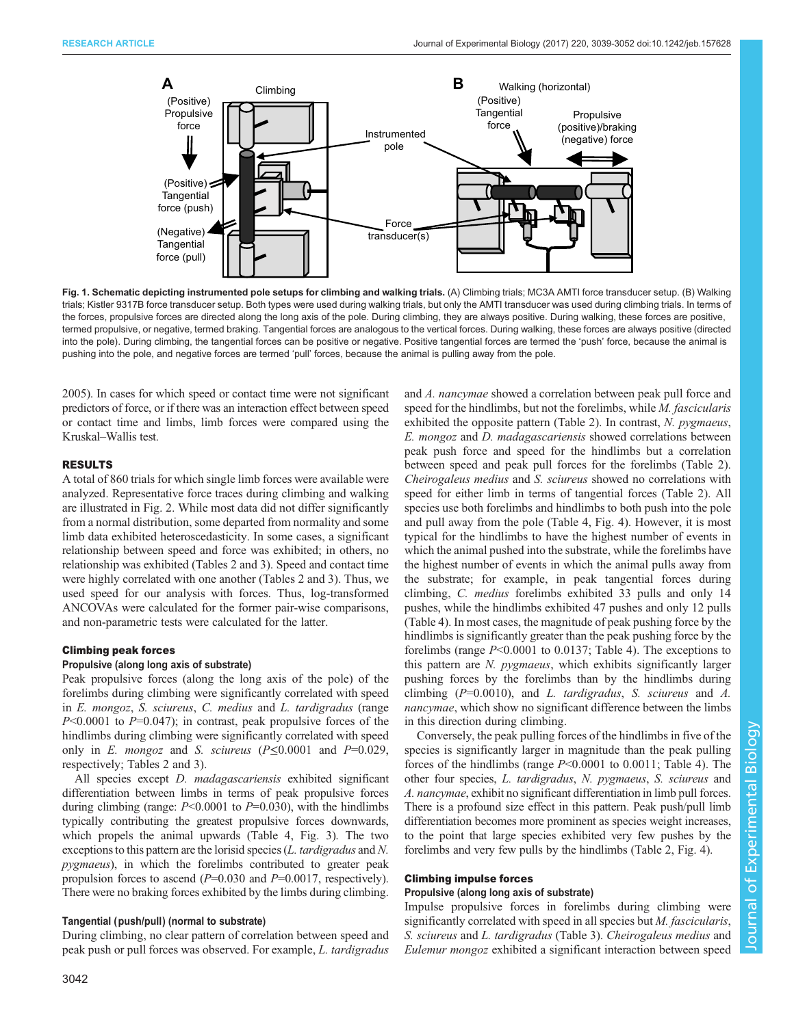<span id="page-3-0"></span>

Fig. 1. Schematic depicting instrumented pole setups for climbing and walking trials. (A) Climbing trials; MC3A AMTI force transducer setup. (B) Walking trials; Kistler 9317B force transducer setup. Both types were used during walking trials, but only the AMTI transducer was used during climbing trials. In terms of the forces, propulsive forces are directed along the long axis of the pole. During climbing, they are always positive. During walking, these forces are positive, termed propulsive, or negative, termed braking. Tangential forces are analogous to the vertical forces. During walking, these forces are always positive (directed into the pole). During climbing, the tangential forces can be positive or negative. Positive tangential forces are termed the 'push' force, because the animal is pushing into the pole, and negative forces are termed 'pull' forces, because the animal is pulling away from the pole.

[2005\)](#page-13-0). In cases for which speed or contact time were not significant predictors of force, or if there was an interaction effect between speed or contact time and limbs, limb forces were compared using the Kruskal–Wallis test.

### RESULTS

A total of 860 trials for which single limb forces were available were analyzed. Representative force traces during climbing and walking are illustrated in [Fig. 2.](#page-4-0) While most data did not differ significantly from a normal distribution, some departed from normality and some limb data exhibited heteroscedasticity. In some cases, a significant relationship between speed and force was exhibited; in others, no relationship was exhibited ([Tables 2](#page-5-0) and [3\)](#page-6-0). Speed and contact time were highly correlated with one another ([Tables 2](#page-5-0) and [3\)](#page-6-0). Thus, we used speed for our analysis with forces. Thus, log-transformed ANCOVAs were calculated for the former pair-wise comparisons, and non-parametric tests were calculated for the latter.

## Climbing peak forces

## Propulsive (along long axis of substrate)

Peak propulsive forces (along the long axis of the pole) of the forelimbs during climbing were significantly correlated with speed in E. mongoz, S. sciureus, C. medius and L. tardigradus (range  $P<0.0001$  to  $P=0.047$ ); in contrast, peak propulsive forces of the hindlimbs during climbing were significantly correlated with speed only in E. mongoz and S. sciureus  $(P \le 0.0001$  and  $P=0.029$ , respectively; [Tables 2](#page-5-0) and [3](#page-6-0)).

All species except *D. madagascariensis* exhibited significant differentiation between limbs in terms of peak propulsive forces during climbing (range:  $P<0.0001$  to  $P=0.030$ ), with the hindlimbs typically contributing the greatest propulsive forces downwards, which propels the animal upwards ([Table 4](#page-7-0), [Fig. 3](#page-8-0)). The two exceptions to this pattern are the lorisid species (L. tardigradus and N. pygmaeus), in which the forelimbs contributed to greater peak propulsion forces to ascend  $(P=0.030$  and  $P=0.0017$ , respectively). There were no braking forces exhibited by the limbs during climbing.

#### Tangential (push/pull) (normal to substrate)

During climbing, no clear pattern of correlation between speed and peak push or pull forces was observed. For example, L. tardigradus and A. nancymae showed a correlation between peak pull force and speed for the hindlimbs, but not the forelimbs, while M. fascicularis exhibited the opposite pattern [\(Table 2](#page-5-0)). In contrast, N. pygmaeus, E. mongoz and D. madagascariensis showed correlations between peak push force and speed for the hindlimbs but a correlation between speed and peak pull forces for the forelimbs ([Table 2\)](#page-5-0). Cheirogaleus medius and S. sciureus showed no correlations with speed for either limb in terms of tangential forces ([Table 2\)](#page-5-0). All species use both forelimbs and hindlimbs to both push into the pole and pull away from the pole [\(Table 4,](#page-7-0) [Fig. 4\)](#page-10-0). However, it is most typical for the hindlimbs to have the highest number of events in which the animal pushed into the substrate, while the forelimbs have the highest number of events in which the animal pulls away from the substrate; for example, in peak tangential forces during climbing, C. medius forelimbs exhibited 33 pulls and only 14 pushes, while the hindlimbs exhibited 47 pushes and only 12 pulls [\(Table 4\)](#page-7-0). In most cases, the magnitude of peak pushing force by the hindlimbs is significantly greater than the peak pushing force by the forelimbs (range P<0.0001 to 0.0137; [Table 4\)](#page-7-0). The exceptions to this pattern are N. *pygmaeus*, which exhibits significantly larger pushing forces by the forelimbs than by the hindlimbs during climbing  $(P=0.0010)$ , and L. tardigradus, S. sciureus and A. nancymae, which show no significant difference between the limbs in this direction during climbing.

Conversely, the peak pulling forces of the hindlimbs in five of the species is significantly larger in magnitude than the peak pulling forces of the hindlimbs (range P<0.0001 to 0.0011; [Table 4](#page-7-0)). The other four species, L. tardigradus, N. pygmaeus, S. sciureus and A. nancymae, exhibit no significant differentiation in limb pull forces. There is a profound size effect in this pattern. Peak push/pull limb differentiation becomes more prominent as species weight increases, to the point that large species exhibited very few pushes by the forelimbs and very few pulls by the hindlimbs ([Table 2,](#page-5-0) [Fig. 4\)](#page-10-0).

# Climbing impulse forces

#### Propulsive (along long axis of substrate)

Impulse propulsive forces in forelimbs during climbing were significantly correlated with speed in all species but *M. fascicularis*, S. sciureus and L. tardigradus ([Table 3\)](#page-6-0). Cheirogaleus medius and Eulemur mongoz exhibited a significant interaction between speed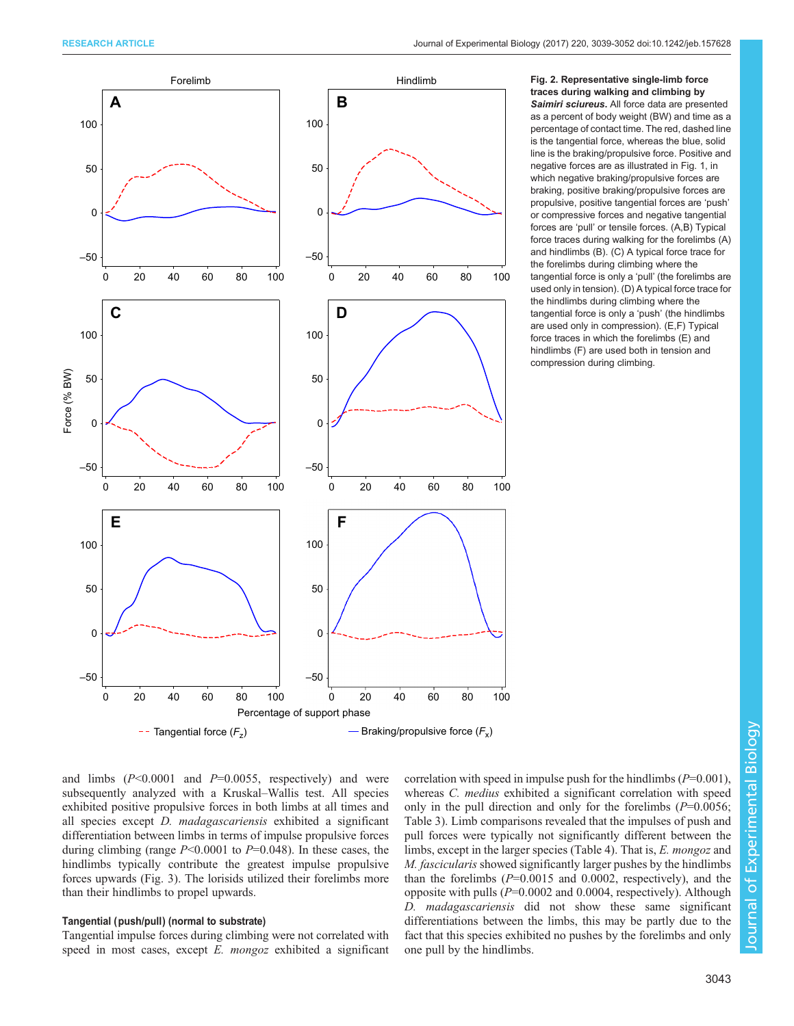<span id="page-4-0"></span>

Fig. 2. Representative single-limb force traces during walking and climbing by Saimiri sciureus. All force data are presented

as a percent of body weight (BW) and time as a percentage of contact time. The red, dashed line is the tangential force, whereas the blue, solid line is the braking/propulsive force. Positive and negative forces are as illustrated in [Fig. 1,](#page-3-0) in which negative braking/propulsive forces are braking, positive braking/propulsive forces are propulsive, positive tangential forces are 'push' or compressive forces and negative tangential forces are 'pull' or tensile forces. (A,B) Typical force traces during walking for the forelimbs (A) and hindlimbs (B). (C) A typical force trace for the forelimbs during climbing where the tangential force is only a 'pull' (the forelimbs are used only in tension). (D) A typical force trace for the hindlimbs during climbing where the tangential force is only a 'push' (the hindlimbs are used only in compression). (E,F) Typical force traces in which the forelimbs (E) and hindlimbs (F) are used both in tension and compression during climbing.

and limbs  $(P<0.0001$  and  $P=0.0055$ , respectively) and were subsequently analyzed with a Kruskal–Wallis test. All species exhibited positive propulsive forces in both limbs at all times and all species except D. madagascariensis exhibited a significant differentiation between limbs in terms of impulse propulsive forces during climbing (range  $P<0.0001$  to  $P=0.048$ ). In these cases, the hindlimbs typically contribute the greatest impulse propulsive forces upwards ([Fig. 3](#page-8-0)). The lorisids utilized their forelimbs more than their hindlimbs to propel upwards.

#### Tangential (push/pull) (normal to substrate)

Tangential impulse forces during climbing were not correlated with speed in most cases, except *E. mongoz* exhibited a significant correlation with speed in impulse push for the hindlimbs  $(P=0.001)$ . whereas *C. medius* exhibited a significant correlation with speed only in the pull direction and only for the forelimbs  $(P=0.0056;$ [Table 3](#page-6-0)). Limb comparisons revealed that the impulses of push and pull forces were typically not significantly different between the limbs, except in the larger species [\(Table 4](#page-7-0)). That is, E. mongoz and M. fascicularis showed significantly larger pushes by the hindlimbs than the forelimbs  $(P=0.0015$  and 0.0002, respectively), and the opposite with pulls  $(P=0.0002$  and 0.0004, respectively). Although D. madagascariensis did not show these same significant differentiations between the limbs, this may be partly due to the fact that this species exhibited no pushes by the forelimbs and only one pull by the hindlimbs.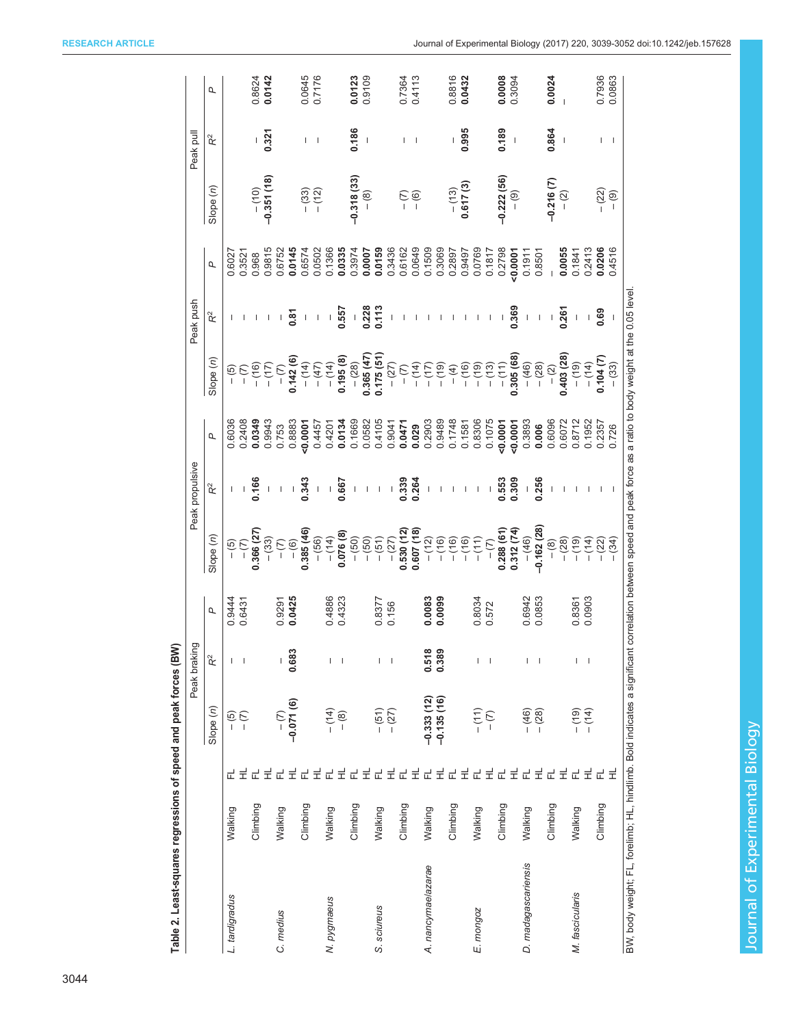<span id="page-5-0"></span>

|                     |          |        |                              | Peak braking                          |        |                            | Peak propulsive          |           |            | Peak push                |             |              | Peak pull                                                                                                                                                                                                                                                                                                                                                                        |                      |
|---------------------|----------|--------|------------------------------|---------------------------------------|--------|----------------------------|--------------------------|-----------|------------|--------------------------|-------------|--------------|----------------------------------------------------------------------------------------------------------------------------------------------------------------------------------------------------------------------------------------------------------------------------------------------------------------------------------------------------------------------------------|----------------------|
|                     |          |        | Slope (n)                    | $\mathbf{R}^2$                        | σ      | Slope (n)                  | $\mathbf{R}^2$           | σ         | Slope (n)  | ř                        | σ           | Slope(n)     | $\mathsf{R}^2$                                                                                                                                                                                                                                                                                                                                                                   | σ                    |
| L. tardigradus      | Walking  |        | $-$ (5)                      |                                       | 0.9444 | $- (5) -$                  |                          | 0.6036    | $-$ (5)    |                          | 0.6027      |              |                                                                                                                                                                                                                                                                                                                                                                                  |                      |
|                     |          | 군 로    | $\overline{C}$               |                                       | 0.6431 |                            |                          | 0.2408    |            |                          | 0.3521      |              |                                                                                                                                                                                                                                                                                                                                                                                  |                      |
|                     | Climbing | 군 로    |                              |                                       |        | 0.366 (27                  | 0.166                    | 0.0349    | $- (16)$   |                          | 0.968       | $- (10)$     |                                                                                                                                                                                                                                                                                                                                                                                  | 0.8624               |
|                     |          |        |                              |                                       |        | $- (33)$                   | $\mathsf I$              | 0.9943    | $- (17)$   |                          | 0.9815      | $-0.351(18)$ | 0.321                                                                                                                                                                                                                                                                                                                                                                            | 0.0142               |
| C. medius           | Walking  |        |                              |                                       | 0.9291 | $\frac{1}{2}$              | $\mathsf I$              | 0.753     | $-$ (7)    |                          | 0.6752      |              |                                                                                                                                                                                                                                                                                                                                                                                  |                      |
|                     |          |        | $-2.071(6)$                  | 0.683                                 | 0.0425 | $- (6)$                    | $\sf I$                  | 0.8883    | 0.142 (6)  | 0.87                     | 0.0145      |              |                                                                                                                                                                                                                                                                                                                                                                                  |                      |
|                     | Climbing | 군로군로군로 |                              |                                       |        | 0.385 (46)                 | 0.343                    | $-0.0001$ | $- (14)$   | $\mathsf I$              | 0.6574      | $- (33)$     | I                                                                                                                                                                                                                                                                                                                                                                                | 0.0645               |
|                     |          |        |                              |                                       |        | $- (56)$                   | $\mathsf I$              | 0.4457    | $- (47)$   | $\mathsf I$              | 0.0502      | $-(12)$      | $\overline{\phantom{a}}$                                                                                                                                                                                                                                                                                                                                                         | 0.7176               |
| N. pygmaeus         | Walking  |        | $-(-14)$<br>$-(-8)$          |                                       | 0.4886 | $- (14)$                   | $\mathsf I$              | 0.4201    | $- (14)$   | $\mathsf I$              | 0.1366      |              |                                                                                                                                                                                                                                                                                                                                                                                  |                      |
|                     |          |        |                              |                                       | 0.4323 | 0.076(8)                   | 0.667                    | 0.0134    | 0.195(8)   | 0.557                    | 0.0335      |              |                                                                                                                                                                                                                                                                                                                                                                                  |                      |
|                     | Climbing | 군로     |                              |                                       |        | $- (50)$                   | $\mathsf I$              | 0.1669    | $- (28)$   | $\bar{1}$                | 0.3974      | $-0.318(33)$ | 0.186                                                                                                                                                                                                                                                                                                                                                                            | 0.0123               |
|                     |          |        |                              |                                       |        | $- (50)$                   | $\sf I$                  | 0.0582    | 0.365(47)  | 0.228                    | 0.0007      | $-$ (8)      | $\begin{array}{c} \rule{0pt}{2.5ex} \rule{0pt}{2.5ex} \rule{0pt}{2.5ex} \rule{0pt}{2.5ex} \rule{0pt}{2.5ex} \rule{0pt}{2.5ex} \rule{0pt}{2.5ex} \rule{0pt}{2.5ex} \rule{0pt}{2.5ex} \rule{0pt}{2.5ex} \rule{0pt}{2.5ex} \rule{0pt}{2.5ex} \rule{0pt}{2.5ex} \rule{0pt}{2.5ex} \rule{0pt}{2.5ex} \rule{0pt}{2.5ex} \rule{0pt}{2.5ex} \rule{0pt}{2.5ex} \rule{0pt}{2.5ex} \rule{0$ | 0.9109               |
| S. sciureus         | Walking  | 군로     | $- (51)$<br>$- (27)$         | L                                     | 0.8377 | $- (51)$                   | $\mathbf I$              | 0.4105    | 0.175(51)  | 0.113                    | 0.0159      |              |                                                                                                                                                                                                                                                                                                                                                                                  |                      |
|                     |          |        |                              | $\overline{\phantom{a}}$              | 0.156  | $-(27)$                    | $\mathsf I$              | 0.9041    | $- (27)$   |                          | 0.3436      |              |                                                                                                                                                                                                                                                                                                                                                                                  |                      |
|                     | Climbing |        |                              |                                       |        | $0.530(12)$<br>$0.607(18)$ | 0.339                    | 0.0471    | $ (7)$     |                          | 0.6162      |              |                                                                                                                                                                                                                                                                                                                                                                                  | 0.7364               |
|                     |          |        |                              |                                       |        |                            | 0.264                    | 0.029     | $- (14)$   |                          | 0.0649      | $- (6)$      | I                                                                                                                                                                                                                                                                                                                                                                                | 0.4113               |
| A. nancymae/azarae  | Walking  | 군로군로군로 | $-0.333(12)$<br>$-0.135(16)$ | 0.518                                 | 0.0083 | $- (12)$                   | $\mathsf I$              | 0.2903    | $- (17)$   |                          | 0.1509      |              |                                                                                                                                                                                                                                                                                                                                                                                  |                      |
|                     |          |        |                              | 0.389                                 | 0.0099 | $- (16)$                   |                          | 0.9489    | $(61) -$   |                          | 0.3069      |              |                                                                                                                                                                                                                                                                                                                                                                                  |                      |
|                     | Climbing |        |                              |                                       |        | (16)                       |                          | 0.1748    | $-$ (4)    |                          | 0.2897      | $- (13)$     |                                                                                                                                                                                                                                                                                                                                                                                  | 0.8816               |
|                     |          |        |                              |                                       |        | $- (16)$                   | $\mathsf I$              | 0.1581    | $- (16)$   |                          | 0.9497      | 0.617(3)     | 0.995                                                                                                                                                                                                                                                                                                                                                                            | 0.0432               |
| E. mongoz           | Walking  | 군로     | $- (11)$                     | $\begin{array}{c} \hline \end{array}$ | 0.8034 | $- (11)$                   | $\blacksquare$           | 0.8306    | $- (19)$   | $\overline{\phantom{a}}$ | 0.0769      |              |                                                                                                                                                                                                                                                                                                                                                                                  |                      |
|                     |          |        | $-$ (7)                      | $\overline{\phantom{a}}$              | 0.572  | $\overline{(-)}$           | $\mathsf I$              | 0.1075    | $- (13)$   | $\overline{\phantom{a}}$ | 0.1817      |              |                                                                                                                                                                                                                                                                                                                                                                                  |                      |
|                     | Climbing | 군로     |                              |                                       |        | 0.288(61)                  | 0.553                    | 50007     | $- (11)$   | $\sf I$                  | 0.2798      | $-0.222(56)$ | 0.189                                                                                                                                                                                                                                                                                                                                                                            | $0.0008$<br>$0.3094$ |
|                     |          |        |                              |                                       |        | 0.312(74)                  | 0.309                    | 0.0001    | 0.305(68)  | 0.369                    | 50007       | $-$ (9)      | $\overline{\phantom{a}}$                                                                                                                                                                                                                                                                                                                                                         |                      |
| D. madagascariensis | Walking  | 군로     |                              | L                                     | 0.6942 | $- (46)$                   | $\mathsf I$              | 0.3893    | $- (46)$   | $\mathsf I$              | 0.1911      |              |                                                                                                                                                                                                                                                                                                                                                                                  |                      |
|                     |          |        | $- (46)$<br>$- (28)$         | $\overline{\phantom{a}}$              | 0.0853 | $-0.162(28)$               | 0.256                    | 0.006     | $- (28)$   | $\sf I$                  | 0.8501      |              |                                                                                                                                                                                                                                                                                                                                                                                  |                      |
|                     | Climbing |        |                              |                                       |        | $- (8)$                    | $\sf I$                  | 0.6096    | $-$ (2)    | $\sf I$                  | $\mathsf I$ | $-0.216(7)$  | 0.864                                                                                                                                                                                                                                                                                                                                                                            | 0.0024               |
|                     |          | 군로     |                              |                                       |        | (28)                       |                          | 0.6072    | 0.403 (28) | 0.26                     | 0.0055      | $-$ (2)      | $\mathsf I$                                                                                                                                                                                                                                                                                                                                                                      |                      |
| M. fascicularis     | Walking  | 군로     | $(61) -$                     | L                                     | 0.8361 | (19)                       |                          | 0.8712    | $(19) -$   | $\mathsf I$              | 0.1841      |              |                                                                                                                                                                                                                                                                                                                                                                                  |                      |
|                     |          |        |                              | $\overline{\phantom{a}}$              | 0.0903 | (14)                       | $\overline{\phantom{a}}$ | 0.1952    | $- (14)$   | $\sf I$                  | 0.2413      |              |                                                                                                                                                                                                                                                                                                                                                                                  |                      |
|                     | Climbing | 군 보    |                              |                                       |        | (22)                       |                          | 0.2357    | 0.104(7)   | 0.69                     | 0.0206      | $- (22)$     |                                                                                                                                                                                                                                                                                                                                                                                  | 0.7936               |
|                     |          |        |                              |                                       |        | (34)                       |                          | 0.726     | $- (33)$   |                          | 0.4516      | $-$ (9)      | I                                                                                                                                                                                                                                                                                                                                                                                | 0.0863               |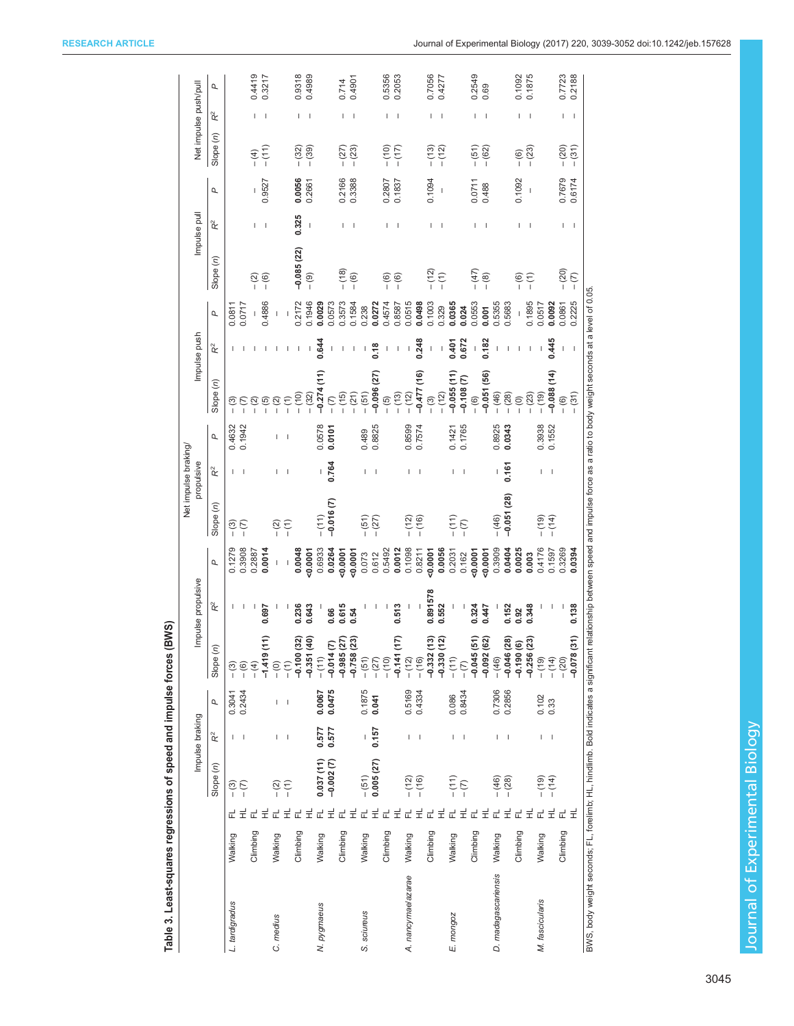<span id="page-6-0"></span>

|                                                                                    |          |       |                  |                 |                                              |                              |                          |                | Net impulse braking                                                                                |                |                  |              |                          |        |                |                          |                          |                       |                          |        |
|------------------------------------------------------------------------------------|----------|-------|------------------|-----------------|----------------------------------------------|------------------------------|--------------------------|----------------|----------------------------------------------------------------------------------------------------|----------------|------------------|--------------|--------------------------|--------|----------------|--------------------------|--------------------------|-----------------------|--------------------------|--------|
|                                                                                    |          |       |                  | Impulse braking |                                              |                              | Impulse propulsive       |                |                                                                                                    | propulsive     |                  |              | Impulse push             |        | Impulse pull   |                          |                          | Net impulse push/pull |                          |        |
|                                                                                    |          |       | Slope (n)        | $\mathbf{R}^2$  | σ                                            | Slope (n)                    | $\mathbf{\tilde{R}}^{2}$ | $\overline{a}$ | Slope (n)                                                                                          | $\mathbf{R}^2$ | Q                | Slope (n)    | $\approx$                | Р      | Slope (n)      | $\mathbf{R}^2$           | Р                        | Slope (n)             | $\mathbf{\tilde{R}}^{2}$ | Q      |
| L. tardigradus                                                                     | Walking  | ᇎ     | $-$ (3)          |                 | 0.3041                                       | $\frac{1}{2}$                |                          | 0.1279         | <u>ි</u>                                                                                           |                | 0.4632           | <u>ි</u>     |                          | 0.0811 |                |                          |                          |                       |                          |        |
|                                                                                    |          |       | $-$ (7)          |                 | 0.2434                                       | $-$ (6)                      |                          | 0.3908         | $\frac{1}{2}$                                                                                      |                | 0.1942           |              |                          | 0.0717 |                |                          |                          |                       |                          |        |
|                                                                                    | Climbing |       |                  |                 |                                              |                              |                          | 0.2887         |                                                                                                    |                |                  |              |                          |        | <u>୍</u>       |                          |                          | $-$ (4)               |                          | 0.4419 |
|                                                                                    |          |       |                  |                 |                                              | $-1.419$                     | 0.697                    | 0.0014         |                                                                                                    |                |                  | - (5)        |                          | 0.4886 | $-$ (6)        | П                        | 0.9527                   | $- (11)$              |                          | 0.3217 |
| C. medius                                                                          | Walking  |       | $-\overline{2}$  |                 | I                                            |                              |                          |                |                                                                                                    |                |                  | $-$ (2)      |                          | I      |                |                          |                          |                       |                          |        |
|                                                                                    |          | Ŧ,    | $\overline{(-)}$ | -1              |                                              |                              |                          |                | (r)<br>一                                                                                           |                |                  |              |                          |        |                |                          |                          |                       |                          |        |
|                                                                                    | Climbing |       |                  |                 |                                              | $-0.100(32)$                 | 0.236                    | 0.0048         |                                                                                                    |                |                  | $(10) -$     |                          | 0.2172 | $-0.085(22)$   | 0.325                    | 0.0056                   | $- (32)$              |                          | 0.9318 |
|                                                                                    |          | 군로    |                  |                 |                                              | $-0.351(40)$                 | 0.643                    | 0.0001         |                                                                                                    |                |                  | $- (32)$     |                          | 0.1946 | $-$ (9)        |                          | 0.2661                   | $- (39)$              |                          | 0.4989 |
| N. pygmaeus                                                                        | Walking  |       | 0.037(11)        | 0.577           | 0.0067                                       | $-$ (11)                     |                          | 0.6933         | $- (11)$                                                                                           |                | 0.0578           | $-0.274(11)$ | 0.644                    | 0.0029 |                |                          |                          |                       |                          |        |
|                                                                                    |          | 군로군로  | $-0.002(7)$      | 0.577           | 0.0475                                       | $-0.014(7)$                  | 0.66                     | 0.0264         | $-0.016(7)$                                                                                        | 0.764          | 0.0101           |              |                          | 0.0573 |                |                          |                          |                       |                          |        |
|                                                                                    | Climbing |       |                  |                 |                                              | $-0.985(27)$<br>$-0.758(23)$ | 0.615                    | 50001          |                                                                                                    |                |                  | $- (15)$     |                          | 0.3573 | $- (18)$       |                          | 0.2166                   | $-(27)$               |                          | 0.714  |
|                                                                                    |          |       |                  |                 |                                              |                              | 0.54                     | 0.0001         |                                                                                                    |                |                  | $- (21)$     |                          | 0.1584 | $- (6)$        | ı                        | 0.3388                   | $-(23)$               |                          | 0.4901 |
| S. sciureus                                                                        | Walking  |       | $- (51)$         |                 | 0.1875                                       | $- (51)$                     |                          | 0.073          | $-(51)$                                                                                            |                | 0.489            | $- (51)$     |                          | 0.238  |                |                          |                          |                       |                          |        |
|                                                                                    |          | 군로군로  | 0.005(27)        | 0.157           | 0.041                                        | $- (27)$                     |                          | 0.612          | $-(27)$                                                                                            |                | 0.8825           | $-0.096(27)$ | 0.18                     | 0.0272 |                |                          |                          |                       |                          |        |
|                                                                                    | Climbing |       |                  |                 |                                              | $(01) -$                     |                          | 0.5492         |                                                                                                    |                |                  | $- (5)$      |                          | 0.4574 | $- (6)$        | ı                        | 0.2807                   | $(10) -$              |                          | 0.5356 |
|                                                                                    |          |       |                  |                 |                                              | ⋷<br>$-0.141($               | 0.513                    | 0.0012         |                                                                                                    |                |                  | $- (13)$     | $\overline{\phantom{a}}$ | 0.8587 | $-$ (6)        | I                        | 0.1837                   | (17)                  |                          | 0.2053 |
| A. nancymae/azarae                                                                 | Walking  | 군로    | $- (12)$         |                 | 0.5169                                       | $- (12)$                     |                          | 0.1098         | $- (12)$                                                                                           |                | 0.8599<br>0.7574 | $- (12)$     | $\overline{\phantom{a}}$ | 0.0515 |                |                          |                          |                       |                          |        |
|                                                                                    |          |       | $- (16)$         |                 | 0.4334                                       | $- (16)$                     |                          | 0.8211         | $- (16)$                                                                                           |                |                  | $-0.477(16)$ | 0.248                    | 0.0498 |                |                          |                          |                       |                          |        |
|                                                                                    | Climbing | 군로    |                  |                 |                                              | ణ<br>$-0.332($               | 0.891578                 | 50007          |                                                                                                    |                |                  | $-$ (3)      | I                        | 0.1003 | $- (12)$       | T                        | 0.1094                   | $- (13)$              |                          | 0.7056 |
|                                                                                    |          |       |                  |                 |                                              | ন<br>$-0.330($               | 0.552                    | 0.0056         |                                                                                                    |                |                  | $- (12)$     | I                        | 0.329  | $\overline{C}$ | I                        | $\overline{\phantom{a}}$ | $- (12)$              | $\overline{\phantom{a}}$ | 0.4277 |
| E. mongoz                                                                          | Walking  | 군로군   | $- (11)$         |                 | 0.086                                        | $- (11)$                     |                          | 0.2031         | (11)                                                                                               |                | 0.1421           | $-0.055(11)$ | 0.401                    | 0.0365 |                |                          |                          |                       |                          |        |
|                                                                                    |          |       | $-$ (7)          |                 | 0.8434                                       | $ (7)$                       |                          | 0.162          | $\overline{C}$                                                                                     |                | 0.1765           | $-0.108(7)$  | 0.672                    | 0.024  |                |                          |                          |                       |                          |        |
|                                                                                    | Climbing |       |                  |                 |                                              | 51)<br>$-0.045$              | 0.324                    | 50001          |                                                                                                    |                |                  | $- (6)$      | $\overline{1}$           | 0.0553 | $- (47)$       | I                        | 0.0711                   | $- (51)$              |                          | 0.2549 |
|                                                                                    |          | $\pm$ |                  |                 |                                              | $-0.092(62)$                 | 0.447                    | 50.0001        |                                                                                                    |                |                  | $-0.051(56)$ | 0.182                    | 0.001  | $-$ (8)        | I                        | 0.488                    | $- (62)$              |                          | 0.69   |
| D. madagascariensis                                                                | Walking  | 군     | $- (46)$         |                 | 0.7306<br>0.2856                             | $- (46)$                     |                          | 0.3909         | $- (46)$                                                                                           | I              | 0.8925           | $- (46)$     |                          | 0.5355 |                |                          |                          |                       |                          |        |
|                                                                                    |          | 보     | $- (28)$         |                 |                                              | $-0.046(28)$                 | 0.152                    | 0.0404         | $-0.051(28)$                                                                                       | 0.161          | 0.0343           | $- (28)$     |                          | 0.5683 |                |                          |                          |                       |                          |        |
|                                                                                    | Climbing | 군     |                  |                 |                                              | $-0.190(6)$                  | 0.92                     | 0.0025         |                                                                                                    |                |                  | $-$ (0)      |                          |        | <u>ිල</u><br>1 | ı                        | 0.1092                   | $- (6)$               |                          | 0.1092 |
|                                                                                    |          | 로     |                  |                 |                                              | $-0.256(23)$                 | 0.348                    | 0.003          |                                                                                                    |                |                  | $- (23)$     |                          | 0.1895 | Ξ<br>Γ         | I                        | I                        | $- (23)$              |                          | 0.1875 |
| M. fascicularis                                                                    | Walking  | 군     | $(61) -$         | I               | $\begin{array}{c} 0.102 \\ 0.33 \end{array}$ | $(61) -$                     |                          | 0.4176         | $(61) -$                                                                                           |                | 0.3938<br>0.1552 | (19)         |                          | 0.0517 |                |                          |                          |                       |                          |        |
|                                                                                    |          | 륖     | $- (14)$         |                 |                                              | $- (14)$                     |                          | 0.1597         | $- (14)$                                                                                           |                |                  | $-0.088(14)$ | 0.445                    | 0.0092 |                |                          |                          |                       |                          |        |
|                                                                                    | Climbing | 군 로   |                  |                 |                                              | $- (20)$                     |                          | 0.3269         |                                                                                                    |                |                  | $- (6)$      | I                        | 0.0861 | $- (20)$       |                          | 0.7679                   | $- (20)$              |                          | 0.7723 |
|                                                                                    |          |       |                  |                 |                                              | $-0.078(31)$                 | 0.138                    | 0.0394         |                                                                                                    |                |                  | $- (31)$     | $\overline{\phantom{a}}$ | 0.2225 | $-$ (7)        | $\overline{\phantom{a}}$ | 0.6174                   | $- (31)$              | I                        | 0.2188 |
| BWS, body weight seconds; FL, forelimb; HL, hindlimb. Bold indicates a significant |          |       |                  |                 |                                              |                              |                          |                | relationship between speed and impulse force as a ratio to body weight seconds at a level of 0.05. |                |                  |              |                          |        |                |                          |                          |                       |                          |        |

Table 3. Least-squares regressions of speed and impulse forces (BWS) Table 3. Least-squares regressions of speed and impulse forces (BWS)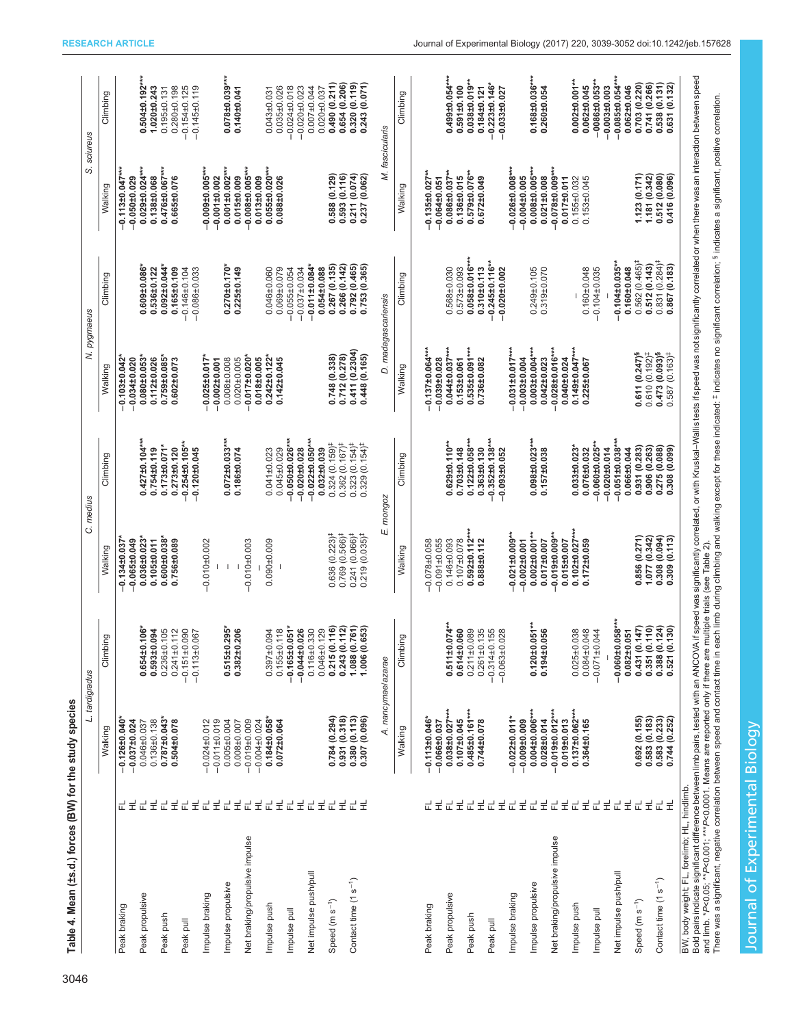<span id="page-7-0"></span>

|                                              |             | L. tardigradus                            |                                                           | C. medius                                              |                                                                | N. pygmaeus                                   |                                                                         | S. sciureus                                 |                                                             |
|----------------------------------------------|-------------|-------------------------------------------|-----------------------------------------------------------|--------------------------------------------------------|----------------------------------------------------------------|-----------------------------------------------|-------------------------------------------------------------------------|---------------------------------------------|-------------------------------------------------------------|
|                                              |             | Walking                                   | Climbing                                                  | Walking                                                | Climbing                                                       | Walking                                       | Climbing                                                                | Walking                                     | Climbing                                                    |
| Peak braking                                 | 로<br>군      | $-0.126 \pm 0.040$<br>$-0.037 + 0.024$    |                                                           | $-0.065 \pm 0.049$<br>$-0.134 \pm 0.037$               |                                                                | $-0.103 + 0.042$<br>$-0.034 \pm 0.020$        |                                                                         | $-0.113 \pm 0.047***$<br>$-0.050 \pm 0.029$ |                                                             |
| Peak propulsive                              | 군<br>Ï      | $0.136 + 0.138$<br>$0.046 + 0.037$        | $0.654 \pm 0.106$<br>$0.593 \pm 0.094$                    | $0.036 \pm 0.023$<br>$0.105\pm0.011$                   | $0.427 \pm 0.104***$<br>$0.754 \pm 0.119$                      | $0.080 \pm 0.053$<br>$0.112 \pm 0.026$        | $0.609 + 0.086$<br>$0.536 \pm 0.122$                                    | $0.029 \pm 0.024***$<br>$0.138 + 0.068$     | $0.504\pm0.192***$<br>$1.020 \pm 0.243$                     |
| Peak push                                    | 로<br>군      | $0.787 \pm 0.043$ *<br>$0.504 \pm 0.078$  | $0.236 \pm 0.105$<br>$0.241 \pm 0.112$                    | $0.600 + 0.038$<br>$0.756 \pm 0.089$                   | $0.173 \pm 0.071$ *<br>$0.273 \pm 0.120$                       | $0.759 \pm 0.085$<br>$0.602 \pm 0.073$        | $0.092\pm0.044$ *<br>$0.165 \pm 0.109$                                  | $0.476 \pm 0.067***$<br>$0.665 \pm 0.076$   | $0.280 \pm 0.198$<br>$0.195 \pm 0.131$                      |
| Peak pull                                    | 로<br>군      |                                           | $-0.151 \pm 0.090$<br>$-0.113 + 0.067$                    |                                                        | $-0.254 \pm 0.105$ *<br>$-0.120 \pm 0.045$                     |                                               | $-0.146 \pm 0.104$<br>$-0.086 + 0.033$                                  |                                             | $-0.154 \pm 0.125$<br>$-0.145 \pm 0.119$                    |
| Impulse braking                              | 군<br>로      | $-0.011 \pm 0.019$<br>$-0.024 \pm 0.012$  |                                                           | $-0.01010002$                                          |                                                                | $-0.025 \pm 0.017$<br>$-0.002 \pm 0.001$      |                                                                         | $-0.009\pm0.005***$<br>$-0.001 \pm 0.002$   |                                                             |
| Impulse propulsive                           | 군           | $0.005 \pm 0.004$<br>$0.008 + 0.007$      | $0.515 \pm 0.295$<br>0.382±0.206                          |                                                        | $0.072 \pm 0.033***$<br>$0.186 \pm 0.074$                      | $0.008 + 0.008$<br>$0.020 \pm 0.005$          | $0.270 \pm 0.170$<br>$0.225 \pm 0.149$                                  | $0.001 \pm 0.002***$<br>$0.015 \pm 0.009$   | $0.078 + 0.039***$<br>$0.140 \pm 0.041$                     |
| Net braking/propulsive impulse               | 로군<br>로     | $-0.019 + 0.009$<br>$-0.004 + 0.024$      |                                                           | $-0.010 + 0.003$                                       |                                                                | $0.017 \pm 0.020$<br>$0.018 + 0.005$          |                                                                         | $-0.008\pm0.005***$<br>0.013±0.009          |                                                             |
| impulse push                                 | 로<br>군      | $0.184\pm0.058*$<br>$0.072 \pm 0.064$     | $0.397 + 0.094$<br>$0.155 \pm 0.118$                      | $0.090 \pm 0.009$                                      | $0.045 \pm 0.029$<br>$0.041 \pm 0.023$                         | $0.242 \pm 0.122$<br>$0.142 \pm 0.045$        | $0.069 + 0.079$<br>$0.046 \pm 0.060$                                    | $0.055\pm0.020***$<br>$0.088 + 0.026$       | $0.035 \pm 0.026$<br>$0.043 \pm 0.031$                      |
| Impulse pull                                 | 로<br>군      |                                           | $-0.165\pm0.051*$<br>$-0.044 + 0.026$                     |                                                        | $-0.050 \pm 0.026$                                             |                                               | $-0.055\pm0.054$                                                        |                                             | $-0.020 \pm 0.023$<br>$-0.024 \pm 0.018$                    |
| Net impulse push/pull                        | 군           |                                           | $0.116 + 0.330$                                           |                                                        | $-0.022 \pm 0.050***$<br>$-0.020 \pm 0.028$                    |                                               | $-0.011 \pm 0.084$ *<br>$-0.037 + 0.034$                                |                                             | 0.00710044                                                  |
| Speed (m s <sup>-1</sup> )                   | 로<br>군      | 0.784 (0.294)                             | 0.215 (0.116)<br>$0.046 \pm 0.129$                        | $0.636(0.223)^{\ddagger}$                              | $0.324(0.159)^{\ddagger}$<br>$0.032 \pm 0.039$                 | 0.748 (0.338)                                 | 0.267(0.135)<br>$0.054 \pm 0.088$                                       | 0.588(0.129)                                | 0.490(0.211)<br>$0.020 \pm 0.037$                           |
| Contact time (1 s <sup>-1</sup> )            | 로<br>군로     | 0.931(0.318)<br>0.380(0.113)              | $0.243(0.112)$<br>1.088 (0.761)                           | $0.769(0.566)^{\ddagger}$<br>$0.241(0.066)^{\ddagger}$ | $0.362(0.167)^{\ddagger}$<br>$0.323(0.154)^{\ddagger}$         | 0.411 (0.2304)<br>(0.278)<br>0.712            | 0.266 (0.142)<br>0.792(0.465)                                           | 0.593 (0.116)<br>0.211(0.074)               | 0.654 (0.206)<br>0.320 (0.119)                              |
|                                              |             | A. nancymae/azarae<br>0.307(0.096)        | 1.006 (0.653)                                             | E. mongoz<br>$0.219(0.035)^{\ddagger}$                 | $0.329(0.154)^{\ddagger}$                                      | D. madagascariensis<br>0.448 (0.165           | 0.753 (0.365)                                                           | M. fascicularis<br>0.237 (0.062)            | 0.243(0.071)                                                |
|                                              |             | Walking                                   | Climbing                                                  | Walking                                                | Climbing                                                       | Walking                                       | Climbing                                                                | Walking                                     | Climbing                                                    |
|                                              |             |                                           |                                                           |                                                        |                                                                |                                               |                                                                         |                                             |                                                             |
| Peak braking                                 | 로<br>군      | $-0.113 \pm 0.046$<br>$-0.0666 \pm 0.037$ |                                                           | $-0.091 \pm 0.055$<br>$-0.078 + 0.058$                 |                                                                | $-0.137\pm0.064***$<br>$-0.039 + 0.028$       |                                                                         | $-0.135 \pm 0.027$ **<br>$-0.064 \pm 0.051$ |                                                             |
| Peak propulsive                              | 군<br>륖      | $0.038\pm0.027***$<br>$0.107 \pm 0.045$   | $0.511 \pm 0.074$<br>$0.614 \pm 0.060$                    | $0.107 \pm 0.078$<br>$0.146 \pm 0.093$                 | $0.629 \pm 0.110***$<br>$0.703 \pm 0.148$                      | $0.044\pm0.037***$<br>$0.153 \pm 0.061$       | $0.573 + 0.093$<br>$0.568 \pm 0.030$                                    | $0.086 \pm 0.037***$<br>$0.136 + 0.015$     | $0.499 + 0.054***$<br>$0.591 \pm 0.100$                     |
| Peak push                                    | 군           | $0.485 \pm 0.161***$                      | $0.211 \pm 0.089$                                         | $.592 \pm 0.112$ *<br>c                                | $0.122 \pm 0.058***$                                           | $0.535\pm0.091***$                            | $0.058\pm0.016***$                                                      | $0.579 \pm 0.076$ **                        | $0.03810.019***$                                            |
| Peak pull                                    | 로<br>로<br>군 | $0.744 \pm 0.078$                         | $0.261 \pm 0.135$<br>$-0.314 + 0.155$<br>$-0.063 + 0.028$ | $0.888 \pm 0.112$                                      | $-0.352 \pm 0.138***$<br>$0.363 \pm 0.130$<br>$-0.093\pm0.052$ | $0.736 \pm 0.082$                             | $-0.245\pm0.116$ <sup>**</sup><br>$0.310 + 0.113$<br>$-0.020 \pm 0.002$ | $0.672 \pm 0.049$                           | $-0.223 \pm 0.146$<br>$0.184 \pm 0.121$<br>$-0.033\pm0.027$ |
| Impulse braking                              | 군<br>Ë      | $-0.022 \pm 0.011$ *<br>$-0.009 + 0.009$  |                                                           | $-0.021 \pm 0.009$ *<br>$-0.002 \pm 0.001$             |                                                                | $-0.031\pm0.017***$<br>$-0.003 \pm 0.004$     |                                                                         | $-0.026 \pm 0.008***$<br>$0.004 \pm 0.005$  |                                                             |
| Impulse propulsive                           | 군<br>Ë      | $0.004\pm0.006***$<br>$0.028 + 0.014$     | $0.120 \pm 0.051$ **<br>$0.194 + 0.056$                   | $0.002 \pm 0.001$ **<br>$0.017\pm0.007$                | $0.098\pm0.023***$<br>$0.157 \pm 0.038$                        | $0.003 \pm 0.004***$<br>$0.042 \pm 0.023$     | $0.249 \pm 0.105$<br>$0.319 + 0.070$                                    | $0.008\pm0.005***$<br>$0.021 \pm 0.008$     | $0.168\pm0.036***$<br>$0.260 \pm 0.054$                     |
| Net braking/propulsive impulse               | 로<br>군      | $-0.019\pm0.012***$<br>$0.019 + 0.013$    |                                                           | $0.019 \pm 0.009$<br>0.015±0.007                       |                                                                | $-0.028 \pm 0.016***$<br>$0.040 \pm 0.024$    |                                                                         | $0.078 + 0.009***$<br>$0.017 \pm 0.011$     |                                                             |
| Impulse push                                 | E<br>군      | $0.137\pm0.062***$<br>$0.364 \pm 0.165$   | $0.025 \pm 0.038$<br>$0.084 \pm 0.048$                    | $0.102 \pm 0.027***$<br>$0.172 \pm 0.059$              | $0.033 \pm 0.023$<br>$0.076 \pm 0.032$                         | $0.149\pm0.047***$<br>$0.225 \pm 0.067$       | $0.160 \pm 0.048$                                                       | $0.155 \pm 0.032$<br>$0.153 \pm 0.045$      | $0.002 \pm 0.001***$<br>$0.062 \pm 0.045$                   |
| Impulse pull                                 | 륖<br>군      |                                           | $-0.071 \pm 0.044$                                        |                                                        | $-0.060 \pm 0.025$<br>$-0.020 \pm 0.014$                       |                                               | $-0.104 + 0.035$                                                        |                                             | $-0086\pm0.053**$<br>$-0.003\pm0.003$                       |
| Net impulse push/pull                        | Ë<br>군      |                                           | $-0.060\pm0.058***$<br>$0.082 \pm 0.051$                  |                                                        | $-0.051 \pm 0.038***$<br>$0.066 \pm 0.044$                     |                                               | $-0.104\pm0.035**$<br>$0.160 + 0.048$                                   |                                             | $-0.085 \pm 0.054***$<br>$0.062 \pm 0.046$                  |
| Speed (m s <sup>-1</sup> )                   | 군<br>로      | 0.583(0.183)<br>0.692(0.155)              | 0.351(0.110)<br>0.431 (0.147                              | 0.856 (0.271)<br>(0.342)<br>1.077                      | 0.931 (0.283)<br>0.906(0.263)                                  | $0.611(0.247)^8$<br>$0.610(0.192)^{\ddagger}$ | $0.562(0.465)^{\ddagger}$<br>0.512(0.143)                               | 1.123 (0.171)<br>1.181 (0.342)              | 0.703 (0.220)<br>0.741 (0.266)                              |
| Contact time (1 s <sup>-1</sup> )            | 군           | 0.583(0.233)                              | 0.388(0.124)                                              | (0.094)<br>0.308                                       | 0.275 (0.088)                                                  | 0.473 (0.093) <sup>§</sup>                    | $0.831(0.284)$ <sup>#</sup>                                             | 0.512 (0.080)                               | 0.538(0.131)                                                |
| BW, body weight; FL, forelimb; HL, hindlimb. |             | 0.744 (0.252)                             | (0.130)<br>0.521                                          | (0.113)<br>0.309                                       | 0.308 (0.099                                                   | $(0.163)^4$<br>0.587                          | 0.867 (0.183)                                                           | 0.416 (0.096)                               | 0.631 (0.132)                                               |
|                                              |             |                                           |                                                           |                                                        |                                                                |                                               |                                                                         |                                             |                                                             |

Journal of Experimental Biology

Journal of Experimental Biology

Table 4. Mean (±s.d.) forces (BW) for the study species

Table 4. Mean (±s.d.) forces (BW) for the study species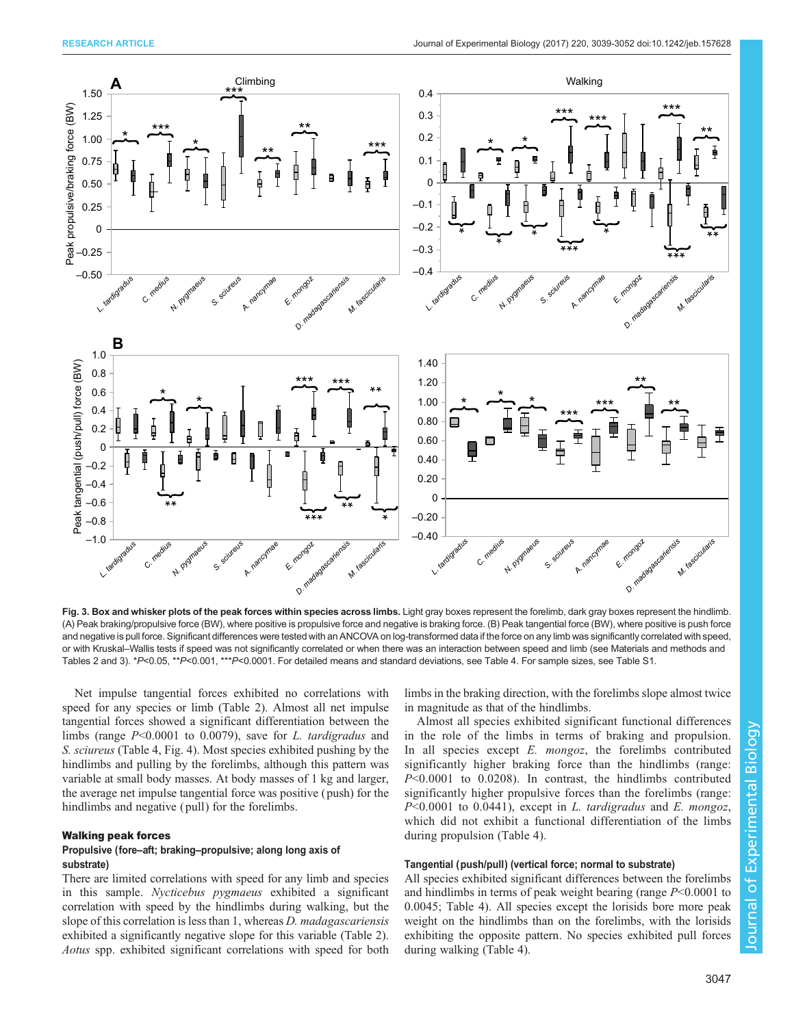<span id="page-8-0"></span>

Fig. 3. Box and whisker plots of the peak forces within species across limbs. Light gray boxes represent the forelimb, dark gray boxes represent the hindlimb. (A) Peak braking/propulsive force (BW), where positive is propulsive force and negative is braking force. (B) Peak tangential force (BW), where positive is push force and negative is pull force. Significant differences were tested with an ANCOVA on log-transformed data if the force on any limb was significantly correlated with speed, or with Kruskal–Wallis tests if speed was not significantly correlated or when there was an interaction between speed and limb (see Materials and methods and [Tables 2](#page-5-0) and 3). \*P<0.05, \*\*P<0.001, \*\*\*P<0.0001. For detailed means and standard deviations, see [Table 4](#page-7-0). For sample sizes, see [Table S1.](http://jeb.biologists.org/lookup/doi/10.1242/jeb.157628.supplemental)

Net impulse tangential forces exhibited no correlations with speed for any species or limb ([Table 2](#page-5-0)). Almost all net impulse tangential forces showed a significant differentiation between the limbs (range P<0.0001 to 0.0079), save for L. tardigradus and S. sciureus ([Table 4](#page-7-0), [Fig. 4\)](#page-10-0). Most species exhibited pushing by the hindlimbs and pulling by the forelimbs, although this pattern was variable at small body masses. At body masses of 1 kg and larger, the average net impulse tangential force was positive ( push) for the hindlimbs and negative (pull) for the forelimbs.

#### Walking peak forces

## Propulsive (fore–aft; braking–propulsive; along long axis of substrate)

There are limited correlations with speed for any limb and species in this sample. Nycticebus pygmaeus exhibited a significant correlation with speed by the hindlimbs during walking, but the slope of this correlation is less than 1, whereas *D. madagascariensis* exhibited a significantly negative slope for this variable ([Table 2\)](#page-5-0). Aotus spp. exhibited significant correlations with speed for both limbs in the braking direction, with the forelimbs slope almost twice in magnitude as that of the hindlimbs.

Almost all species exhibited significant functional differences in the role of the limbs in terms of braking and propulsion. In all species except  $E$ . mongoz, the forelimbs contributed significantly higher braking force than the hindlimbs (range: P<0.0001 to 0.0208). In contrast, the hindlimbs contributed significantly higher propulsive forces than the forelimbs (range:  $P<0.0001$  to 0.0441), except in L. tardigradus and E. mongoz, which did not exhibit a functional differentiation of the limbs during propulsion ([Table 4](#page-7-0)).

## Tangential (push/pull) (vertical force; normal to substrate)

All species exhibited significant differences between the forelimbs and hindlimbs in terms of peak weight bearing (range  $P<0.0001$  to 0.0045; [Table 4\)](#page-7-0). All species except the lorisids bore more peak weight on the hindlimbs than on the forelimbs, with the lorisids exhibiting the opposite pattern. No species exhibited pull forces during walking [\(Table 4\)](#page-7-0).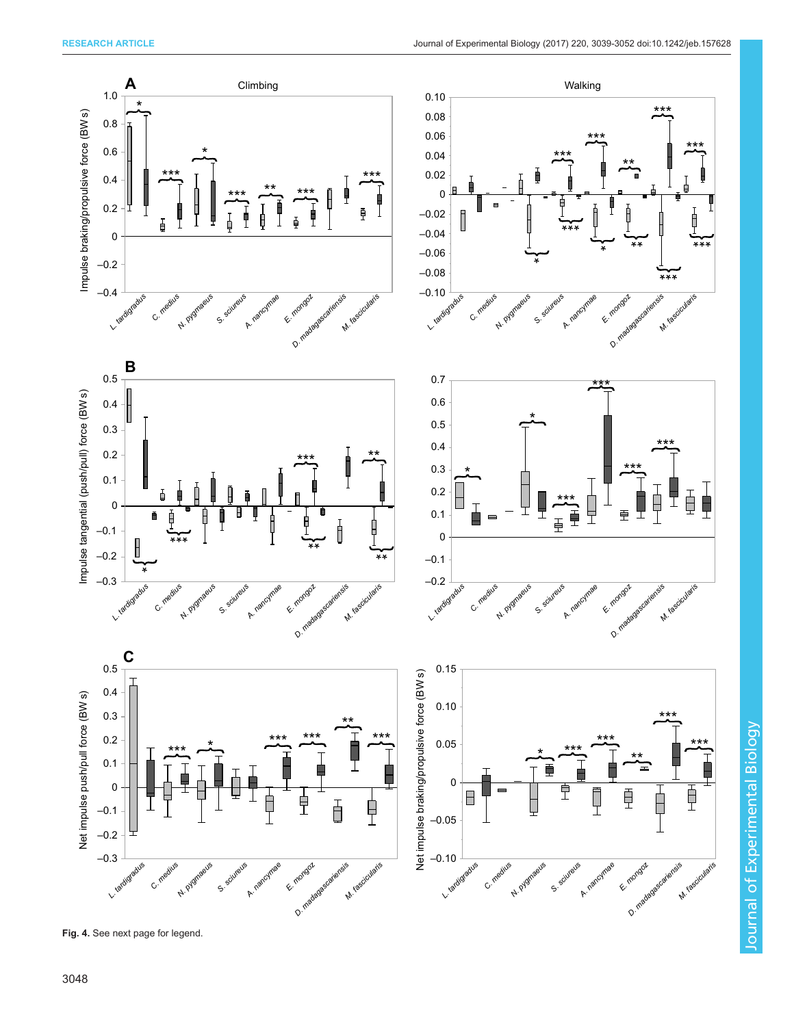Journal of Experimental Biology

Journal of Experimental Biology



Fig. 4. See next page for legend.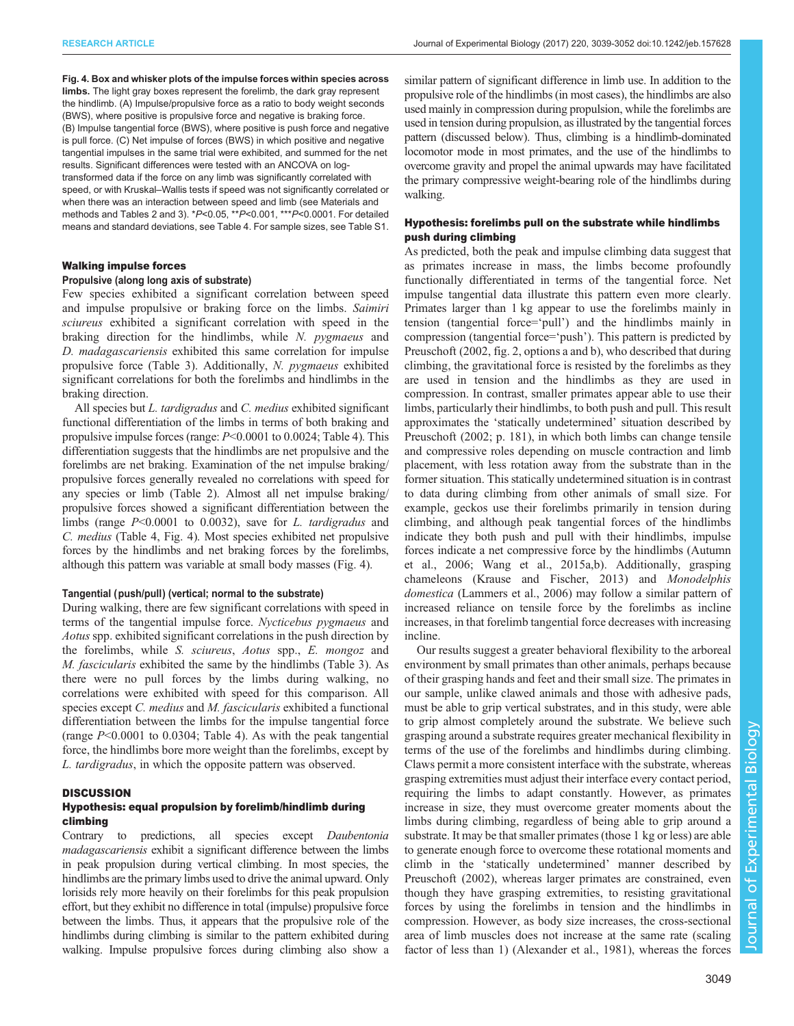<span id="page-10-0"></span>Fig. 4. Box and whisker plots of the impulse forces within species across limbs. The light gray boxes represent the forelimb, the dark gray represent the hindlimb. (A) Impulse/propulsive force as a ratio to body weight seconds (BWS), where positive is propulsive force and negative is braking force. (B) Impulse tangential force (BWS), where positive is push force and negative is pull force. (C) Net impulse of forces (BWS) in which positive and negative tangential impulses in the same trial were exhibited, and summed for the net results. Significant differences were tested with an ANCOVA on logtransformed data if the force on any limb was significantly correlated with speed, or with Kruskal–Wallis tests if speed was not significantly correlated or when there was an interaction between speed and limb (see Materials and methods and [Tables 2](#page-5-0) and [3\)](#page-6-0). \*P<0.05, \*\*P<0.001, \*\*\*P<0.0001. For detailed means and standard deviations, see [Table 4.](#page-7-0) For sample sizes, see [Table S1.](http://jeb.biologists.org/lookup/doi/10.1242/jeb.157628.supplemental)

#### Walking impulse forces

#### Propulsive (along long axis of substrate)

Few species exhibited a significant correlation between speed and impulse propulsive or braking force on the limbs. Saimiri sciureus exhibited a significant correlation with speed in the braking direction for the hindlimbs, while N. pygmaeus and D. madagascariensis exhibited this same correlation for impulse propulsive force [\(Table 3](#page-6-0)). Additionally, N. pygmaeus exhibited significant correlations for both the forelimbs and hindlimbs in the braking direction.

All species but *L. tardigradus* and *C. medius* exhibited significant functional differentiation of the limbs in terms of both braking and propulsive impulse forces (range: P<0.0001 to 0.0024; [Table 4](#page-7-0)). This differentiation suggests that the hindlimbs are net propulsive and the forelimbs are net braking. Examination of the net impulse braking/ propulsive forces generally revealed no correlations with speed for any species or limb [\(Table 2](#page-5-0)). Almost all net impulse braking/ propulsive forces showed a significant differentiation between the limbs (range  $P<0.0001$  to 0.0032), save for L. tardigradus and C. medius [\(Table 4](#page-7-0), Fig. 4). Most species exhibited net propulsive forces by the hindlimbs and net braking forces by the forelimbs, although this pattern was variable at small body masses (Fig. 4).

#### Tangential (push/pull) (vertical; normal to the substrate)

During walking, there are few significant correlations with speed in terms of the tangential impulse force. Nycticebus pygmaeus and Aotus spp. exhibited significant correlations in the push direction by the forelimbs, while S. sciureus, Aotus spp., E. mongoz and M. fascicularis exhibited the same by the hindlimbs [\(Table 3](#page-6-0)). As there were no pull forces by the limbs during walking, no correlations were exhibited with speed for this comparison. All species except C. medius and M. fascicularis exhibited a functional differentiation between the limbs for the impulse tangential force (range P<0.0001 to 0.0304; [Table 4](#page-7-0)). As with the peak tangential force, the hindlimbs bore more weight than the forelimbs, except by L. tardigradus, in which the opposite pattern was observed.

#### **DISCUSSION**

### Hypothesis: equal propulsion by forelimb/hindlimb during climbing

Contrary to predictions, all species except Daubentonia madagascariensis exhibit a significant difference between the limbs in peak propulsion during vertical climbing. In most species, the hindlimbs are the primary limbs used to drive the animal upward. Only lorisids rely more heavily on their forelimbs for this peak propulsion effort, but they exhibit no difference in total (impulse) propulsive force between the limbs. Thus, it appears that the propulsive role of the hindlimbs during climbing is similar to the pattern exhibited during walking. Impulse propulsive forces during climbing also show a

similar pattern of significant difference in limb use. In addition to the propulsive role of the hindlimbs (in most cases), the hindlimbs are also used mainly in compression during propulsion, while the forelimbs are used in tension during propulsion, as illustrated by the tangential forces pattern (discussed below). Thus, climbing is a hindlimb-dominated locomotor mode in most primates, and the use of the hindlimbs to overcome gravity and propel the animal upwards may have facilitated the primary compressive weight-bearing role of the hindlimbs during walking.

# Hypothesis: forelimbs pull on the substrate while hindlimbs push during climbing

As predicted, both the peak and impulse climbing data suggest that as primates increase in mass, the limbs become profoundly functionally differentiated in terms of the tangential force. Net impulse tangential data illustrate this pattern even more clearly. Primates larger than 1 kg appear to use the forelimbs mainly in tension (tangential force='pull') and the hindlimbs mainly in compression (tangential force='push'). This pattern is predicted by [Preuschoft \(2002,](#page-13-0) fig. 2, options a and b), who described that during climbing, the gravitational force is resisted by the forelimbs as they are used in tension and the hindlimbs as they are used in compression. In contrast, smaller primates appear able to use their limbs, particularly their hindlimbs, to both push and pull. This result approximates the 'statically undetermined' situation described by [Preuschoft \(2002](#page-13-0); p. 181), in which both limbs can change tensile and compressive roles depending on muscle contraction and limb placement, with less rotation away from the substrate than in the former situation. This statically undetermined situation is in contrast to data during climbing from other animals of small size. For example, geckos use their forelimbs primarily in tension during climbing, and although peak tangential forces of the hindlimbs indicate they both push and pull with their hindlimbs, impulse forces indicate a net compressive force by the hindlimbs ([Autumn](#page-12-0) [et al., 2006;](#page-12-0) [Wang et al., 2015a,b\)](#page-13-0). Additionally, grasping chameleons ([Krause and Fischer, 2013](#page-13-0)) and Monodelphis domestica [\(Lammers et al., 2006](#page-13-0)) may follow a similar pattern of increased reliance on tensile force by the forelimbs as incline increases, in that forelimb tangential force decreases with increasing incline.

Our results suggest a greater behavioral flexibility to the arboreal environment by small primates than other animals, perhaps because of their grasping hands and feet and their small size. The primates in our sample, unlike clawed animals and those with adhesive pads, must be able to grip vertical substrates, and in this study, were able to grip almost completely around the substrate. We believe such grasping around a substrate requires greater mechanical flexibility in terms of the use of the forelimbs and hindlimbs during climbing. Claws permit a more consistent interface with the substrate, whereas grasping extremities must adjust their interface every contact period, requiring the limbs to adapt constantly. However, as primates increase in size, they must overcome greater moments about the limbs during climbing, regardless of being able to grip around a substrate. It may be that smaller primates (those 1 kg or less) are able to generate enough force to overcome these rotational moments and climb in the 'statically undetermined' manner described by [Preuschoft \(2002\)](#page-13-0), whereas larger primates are constrained, even though they have grasping extremities, to resisting gravitational forces by using the forelimbs in tension and the hindlimbs in compression. However, as body size increases, the cross-sectional area of limb muscles does not increase at the same rate (scaling factor of less than 1) [\(Alexander et al., 1981](#page-12-0)), whereas the forces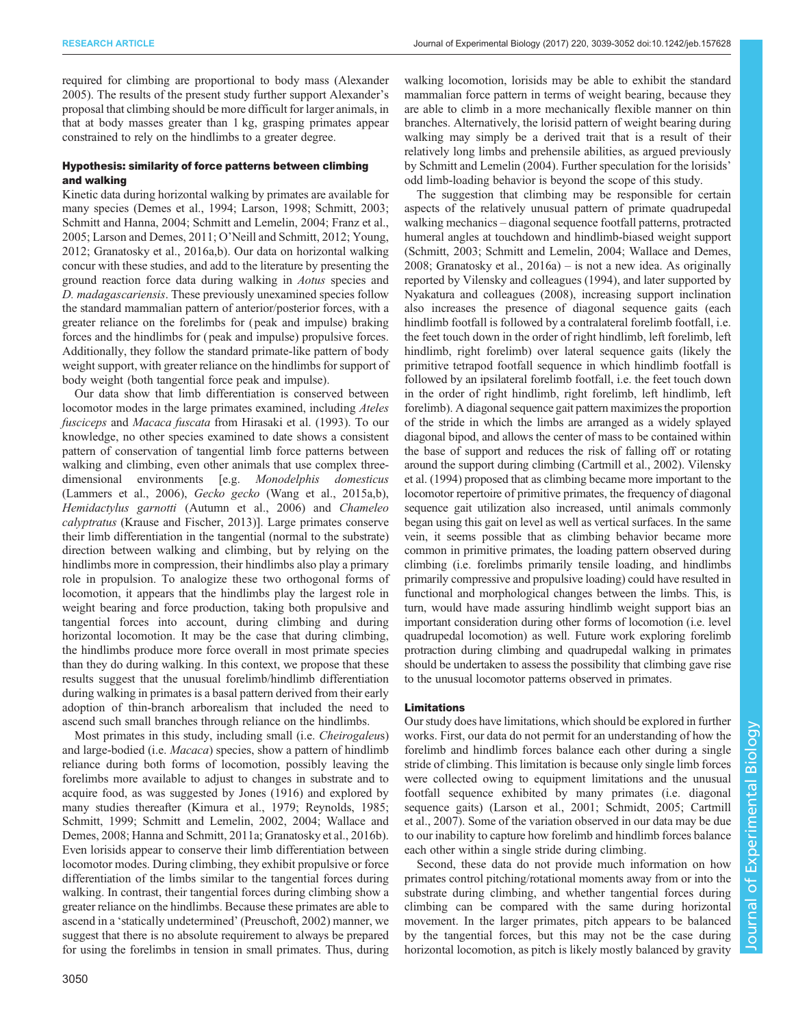required for climbing are proportional to body mass ([Alexander](#page-12-0) [2005](#page-12-0)). The results of the present study further support Alexander's proposal that climbing should be more difficult for larger animals, in that at body masses greater than 1 kg, grasping primates appear constrained to rely on the hindlimbs to a greater degree.

## Hypothesis: similarity of force patterns between climbing and walking

Kinetic data during horizontal walking by primates are available for many species [\(Demes et al., 1994](#page-12-0); [Larson, 1998](#page-13-0); [Schmitt, 2003](#page-13-0); [Schmitt and Hanna, 2004; Schmitt and Lemelin, 2004](#page-13-0); [Franz et al.,](#page-12-0) [2005](#page-12-0); [Larson and Demes, 2011](#page-13-0); O'[Neill and Schmitt, 2012; Young,](#page-13-0) [2012](#page-13-0); [Granatosky et al., 2016a](#page-12-0),[b](#page-12-0)). Our data on horizontal walking concur with these studies, and add to the literature by presenting the ground reaction force data during walking in Aotus species and D. madagascariensis. These previously unexamined species follow the standard mammalian pattern of anterior/posterior forces, with a greater reliance on the forelimbs for ( peak and impulse) braking forces and the hindlimbs for ( peak and impulse) propulsive forces. Additionally, they follow the standard primate-like pattern of body weight support, with greater reliance on the hindlimbs for support of body weight (both tangential force peak and impulse).

Our data show that limb differentiation is conserved between locomotor modes in the large primates examined, including Ateles fusciceps and Macaca fuscata from [Hirasaki et al. \(1993\)](#page-12-0). To our knowledge, no other species examined to date shows a consistent pattern of conservation of tangential limb force patterns between walking and climbing, even other animals that use complex threedimensional environments [e.g. Monodelphis domesticus [\(Lammers et al., 2006](#page-13-0)), Gecko gecko ([Wang et al., 2015a](#page-13-0),[b\)](#page-13-0), Hemidactylus garnotti ([Autumn et al., 2006\)](#page-12-0) and Chameleo calyptratus [\(Krause and Fischer, 2013\)](#page-13-0)]. Large primates conserve their limb differentiation in the tangential (normal to the substrate) direction between walking and climbing, but by relying on the hindlimbs more in compression, their hindlimbs also play a primary role in propulsion. To analogize these two orthogonal forms of locomotion, it appears that the hindlimbs play the largest role in weight bearing and force production, taking both propulsive and tangential forces into account, during climbing and during horizontal locomotion. It may be the case that during climbing, the hindlimbs produce more force overall in most primate species than they do during walking. In this context, we propose that these results suggest that the unusual forelimb/hindlimb differentiation during walking in primates is a basal pattern derived from their early adoption of thin-branch arborealism that included the need to ascend such small branches through reliance on the hindlimbs.

Most primates in this study, including small (i.e. Cheirogaleus) and large-bodied (i.e. *Macaca*) species, show a pattern of hindlimb reliance during both forms of locomotion, possibly leaving the forelimbs more available to adjust to changes in substrate and to acquire food, as was suggested by [Jones \(1916\)](#page-12-0) and explored by many studies thereafter ([Kimura et al., 1979](#page-12-0); [Reynolds, 1985](#page-13-0); [Schmitt, 1999](#page-13-0); [Schmitt and Lemelin, 2002, 2004; Wallace and](#page-13-0) [Demes, 2008](#page-13-0); [Hanna and Schmitt, 2011a](#page-12-0); [Granatosky et al., 2016b\)](#page-12-0). Even lorisids appear to conserve their limb differentiation between locomotor modes. During climbing, they exhibit propulsive or force differentiation of the limbs similar to the tangential forces during walking. In contrast, their tangential forces during climbing show a greater reliance on the hindlimbs. Because these primates are able to ascend in a 'statically undetermined' ([Preuschoft, 2002\)](#page-13-0) manner, we suggest that there is no absolute requirement to always be prepared for using the forelimbs in tension in small primates. Thus, during

3050

walking locomotion, lorisids may be able to exhibit the standard mammalian force pattern in terms of weight bearing, because they are able to climb in a more mechanically flexible manner on thin branches. Alternatively, the lorisid pattern of weight bearing during walking may simply be a derived trait that is a result of their relatively long limbs and prehensile abilities, as argued previously by [Schmitt and Lemelin \(2004\).](#page-13-0) Further speculation for the lorisids' odd limb-loading behavior is beyond the scope of this study.

The suggestion that climbing may be responsible for certain aspects of the relatively unusual pattern of primate quadrupedal walking mechanics – diagonal sequence footfall patterns, protracted humeral angles at touchdown and hindlimb-biased weight support [\(Schmitt, 2003; Schmitt and Lemelin, 2004; Wallace and Demes,](#page-13-0) [2008;](#page-13-0) [Granatosky et al., 2016a\)](#page-12-0) – is not a new idea. As originally reported by [Vilensky and colleagues \(1994\)](#page-13-0), and later supported by [Nyakatura and colleagues \(2008\),](#page-13-0) increasing support inclination also increases the presence of diagonal sequence gaits (each hindlimb footfall is followed by a contralateral forelimb footfall, i.e. the feet touch down in the order of right hindlimb, left forelimb, left hindlimb, right forelimb) over lateral sequence gaits (likely the primitive tetrapod footfall sequence in which hindlimb footfall is followed by an ipsilateral forelimb footfall, i.e. the feet touch down in the order of right hindlimb, right forelimb, left hindlimb, left forelimb). A diagonal sequence gait pattern maximizes the proportion of the stride in which the limbs are arranged as a widely splayed diagonal bipod, and allows the center of mass to be contained within the base of support and reduces the risk of falling off or rotating around the support during climbing ([Cartmill et al., 2002\)](#page-12-0). [Vilensky](#page-13-0) [et al. \(1994\)](#page-13-0) proposed that as climbing became more important to the locomotor repertoire of primitive primates, the frequency of diagonal sequence gait utilization also increased, until animals commonly began using this gait on level as well as vertical surfaces. In the same vein, it seems possible that as climbing behavior became more common in primitive primates, the loading pattern observed during climbing (i.e. forelimbs primarily tensile loading, and hindlimbs primarily compressive and propulsive loading) could have resulted in functional and morphological changes between the limbs. This, is turn, would have made assuring hindlimb weight support bias an important consideration during other forms of locomotion (i.e. level quadrupedal locomotion) as well. Future work exploring forelimb protraction during climbing and quadrupedal walking in primates should be undertaken to assess the possibility that climbing gave rise to the unusual locomotor patterns observed in primates.

## Limitations

Our study does have limitations, which should be explored in further works. First, our data do not permit for an understanding of how the forelimb and hindlimb forces balance each other during a single stride of climbing. This limitation is because only single limb forces were collected owing to equipment limitations and the unusual footfall sequence exhibited by many primates (i.e. diagonal sequence gaits) ([Larson et al., 2001](#page-13-0); [Schmidt, 2005](#page-13-0); [Cartmill](#page-12-0) [et al., 2007](#page-12-0)). Some of the variation observed in our data may be due to our inability to capture how forelimb and hindlimb forces balance each other within a single stride during climbing.

Second, these data do not provide much information on how primates control pitching/rotational moments away from or into the substrate during climbing, and whether tangential forces during climbing can be compared with the same during horizontal movement. In the larger primates, pitch appears to be balanced by the tangential forces, but this may not be the case during horizontal locomotion, as pitch is likely mostly balanced by gravity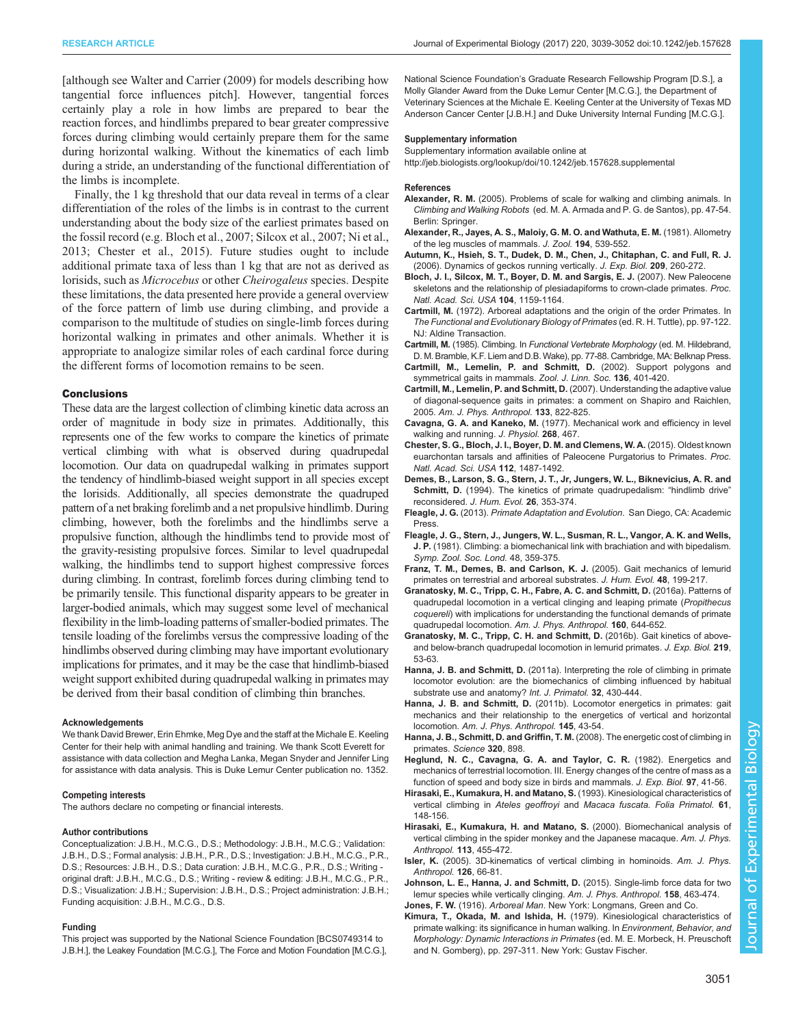<span id="page-12-0"></span>[although see [Walter and Carrier \(2009\)](#page-13-0) for models describing how tangential force influences pitch]. However, tangential forces certainly play a role in how limbs are prepared to bear the reaction forces, and hindlimbs prepared to bear greater compressive forces during climbing would certainly prepare them for the same during horizontal walking. Without the kinematics of each limb during a stride, an understanding of the functional differentiation of the limbs is incomplete.

Finally, the 1 kg threshold that our data reveal in terms of a clear differentiation of the roles of the limbs is in contrast to the current understanding about the body size of the earliest primates based on the fossil record (e.g. Bloch et al., 2007; [Silcox et al., 2007](#page-13-0); [Ni et al.,](#page-13-0) [2013](#page-13-0); Chester et al., 2015). Future studies ought to include additional primate taxa of less than 1 kg that are not as derived as lorisids, such as Microcebus or other Cheirogaleus species. Despite these limitations, the data presented here provide a general overview of the force pattern of limb use during climbing, and provide a comparison to the multitude of studies on single-limb forces during horizontal walking in primates and other animals. Whether it is appropriate to analogize similar roles of each cardinal force during the different forms of locomotion remains to be seen.

#### **Conclusions**

These data are the largest collection of climbing kinetic data across an order of magnitude in body size in primates. Additionally, this represents one of the few works to compare the kinetics of primate vertical climbing with what is observed during quadrupedal locomotion. Our data on quadrupedal walking in primates support the tendency of hindlimb-biased weight support in all species except the lorisids. Additionally, all species demonstrate the quadruped pattern of a net braking forelimb and a net propulsive hindlimb. During climbing, however, both the forelimbs and the hindlimbs serve a propulsive function, although the hindlimbs tend to provide most of the gravity-resisting propulsive forces. Similar to level quadrupedal walking, the hindlimbs tend to support highest compressive forces during climbing. In contrast, forelimb forces during climbing tend to be primarily tensile. This functional disparity appears to be greater in larger-bodied animals, which may suggest some level of mechanical flexibility in the limb-loading patterns of smaller-bodied primates. The tensile loading of the forelimbs versus the compressive loading of the hindlimbs observed during climbing may have important evolutionary implications for primates, and it may be the case that hindlimb-biased weight support exhibited during quadrupedal walking in primates may be derived from their basal condition of climbing thin branches.

#### Acknowledgements

We thank David Brewer, Erin Ehmke, Meg Dye and the staff at the Michale E. Keeling Center for their help with animal handling and training. We thank Scott Everett for assistance with data collection and Megha Lanka, Megan Snyder and Jennifer Ling for assistance with data analysis. This is Duke Lemur Center publication no. 1352.

#### Competing interests

The authors declare no competing or financial interests.

#### Author contributions

Conceptualization: J.B.H., M.C.G., D.S.; Methodology: J.B.H., M.C.G.; Validation: J.B.H., D.S.; Formal analysis: J.B.H., P.R., D.S.; Investigation: J.B.H., M.C.G., P.R., D.S.; Resources: J.B.H., D.S.; Data curation: J.B.H., M.C.G., P.R., D.S.; Writing original draft: J.B.H., M.C.G., D.S.; Writing - review & editing: J.B.H., M.C.G., P.R., D.S.; Visualization: J.B.H.; Supervision: J.B.H., D.S.; Project administration: J.B.H.; Funding acquisition: J.B.H., M.C.G., D.S.

#### Funding

This project was supported by the National Science Foundation [BCS0749314 to J.B.H.], the Leakey Foundation [M.C.G.], The Force and Motion Foundation [M.C.G.], National Science Foundation's Graduate Research Fellowship Program [D.S.], a Molly Glander Award from the Duke Lemur Center [M.C.G.], the Department of Veterinary Sciences at the Michale E. Keeling Center at the University of Texas MD Anderson Cancer Center [J.B.H.] and Duke University Internal Funding [M.C.G.].

#### Supplementary information

Supplementary information available online at <http://jeb.biologists.org/lookup/doi/10.1242/jeb.157628.supplemental>

#### References

- Alexander, R. M. (2005). Problems of scale for walking and climbing animals. In Climbing and Walking Robots (ed. M. A. Armada and P. G. de Santos), pp. 47-54. Berlin: Springer.
- [Alexander, R., Jayes, A. S., Maloiy, G. M. O. and Wathuta, E. M.](http://dx.doi.org/10.1111/j.1469-7998.1981.tb04600.x) (1981). Allometry [of the leg muscles of mammals.](http://dx.doi.org/10.1111/j.1469-7998.1981.tb04600.x) J. Zool. 194, 539-552.
- [Autumn, K., Hsieh, S. T., Dudek, D. M., Chen, J., Chitaphan, C. and Full, R. J.](http://dx.doi.org/10.1242/jeb.01980) [\(2006\). Dynamics of geckos running vertically.](http://dx.doi.org/10.1242/jeb.01980) J. Exp. Biol. 209, 260-272.
- [Bloch, J. I., Silcox, M. T., Boyer, D. M. and Sargis, E. J.](http://dx.doi.org/10.1073/pnas.0610579104) (2007). New Paleocene [skeletons and the relationship of plesiadapiforms to crown-clade primates.](http://dx.doi.org/10.1073/pnas.0610579104) Proc. [Natl. Acad. Sci. USA](http://dx.doi.org/10.1073/pnas.0610579104) 104, 1159-1164.
- Cartmill, M. [\(1972\). Arboreal adaptations and the origin of the order Primates. In](http://dx.doi.org/10.1046/j.1096-3642.2002.00038.x) [The Functional and Evolutionary Biology of Primates](http://dx.doi.org/10.1046/j.1096-3642.2002.00038.x) (ed. R. H. Tuttle), pp. 97-122. [NJ: Aldine Transaction.](http://dx.doi.org/10.1046/j.1096-3642.2002.00038.x)
- Cartmill, M. (1985). Climbing. In Functional Vertebrate Morphology (ed. M. Hildebrand, D. M. Bramble, K.F. Liem and D.B. Wake), pp. 77-88. Cambridge, MA: Belknap Press.
- [Cartmill, M., Lemelin, P. and Schmitt, D.](http://dx.doi.org/10.1046/j.1096-3642.2002.00038.x) (2002). Support polygons and [symmetrical gaits in mammals.](http://dx.doi.org/10.1046/j.1096-3642.2002.00038.x) Zool. J. Linn. Soc. 136, 401-420.
- [Cartmill, M., Lemelin, P. and Schmitt, D.](http://dx.doi.org/10.1002/ajpa.20589) (2007). Understanding the adaptive value [of diagonal-sequence gaits in primates: a comment on Shapiro and Raichlen,](http://dx.doi.org/10.1002/ajpa.20589) 2005. [Am. J. Phys. Anthropol.](http://dx.doi.org/10.1002/ajpa.20589) 133, 822-825.
- Cavagna, G. A. and Kaneko, M. [\(1977\). Mechanical work and efficiency in level](http://dx.doi.org/10.1113/jphysiol.1977.sp011866) [walking and running.](http://dx.doi.org/10.1113/jphysiol.1977.sp011866) J. Physiol. 268, 467.
- [Chester, S. G., Bloch, J. I., Boyer, D. M. and Clemens, W. A.](http://dx.doi.org/10.1073/pnas.1421707112) (2015). Oldest known [euarchontan tarsals and affinities of Paleocene Purgatorius to Primates.](http://dx.doi.org/10.1073/pnas.1421707112) Proc. [Natl. Acad. Sci. USA](http://dx.doi.org/10.1073/pnas.1421707112) 112, 1487-1492.
- [Demes, B., Larson, S. G., Stern, J. T., Jr, Jungers, W. L., Biknevicius, A. R. and](http://dx.doi.org/10.1006/jhev.1994.1023) Schmitt, D. [\(1994\). The kinetics of primate quadrupedalism:](http://dx.doi.org/10.1006/jhev.1994.1023) "hindlimb drive" [reconsidered.](http://dx.doi.org/10.1006/jhev.1994.1023) J. Hum. Evol. 26, 353-374.
- Fleagle, J. G. (2013). Primate Adaptation and Evolution. San Diego, CA: Academic Press.
- Fleagle, J. G., Stern, J., Jungers, W. L., Susman, R. L., Vangor, A. K. and Wells, J. P. (1981). Climbing: a biomechanical link with brachiation and with bipedalism. Symp. Zool. Soc. Lond. 48, 359-375.
- [Franz, T. M., Demes, B. and Carlson, K. J.](http://dx.doi.org/10.1016/j.jhevol.2004.11.004) (2005). Gait mechanics of lemurid [primates on terrestrial and arboreal substrates.](http://dx.doi.org/10.1016/j.jhevol.2004.11.004) J. Hum. Evol. 48, 199-217.
- [Granatosky, M. C., Tripp, C. H., Fabre, A. C. and Schmitt, D.](http://dx.doi.org/10.1002/ajpa.22991) (2016a). Patterns of [quadrupedal locomotion in a vertical clinging and leaping primate \(](http://dx.doi.org/10.1002/ajpa.22991)Propithecus coquereli[\) with implications for understanding the functional demands of primate](http://dx.doi.org/10.1002/ajpa.22991) [quadrupedal locomotion.](http://dx.doi.org/10.1002/ajpa.22991) Am. J. Phys. Anthropol. 160, 644-652.
- [Granatosky, M. C., Tripp, C. H. and Schmitt, D.](http://dx.doi.org/10.1242/jeb.120840) (2016b). Gait kinetics of above[and below-branch quadrupedal locomotion in lemurid primates.](http://dx.doi.org/10.1242/jeb.120840) J. Exp. Biol. 219, [53-63.](http://dx.doi.org/10.1242/jeb.120840)
- Hanna, J. B. and Schmitt, D. [\(2011a\). Interpreting the role of climbing in primate](http://dx.doi.org/10.1007/s10764-010-9479-2) [locomotor evolution: are the biomechanics of climbing influenced by habitual](http://dx.doi.org/10.1007/s10764-010-9479-2) [substrate use and anatomy?](http://dx.doi.org/10.1007/s10764-010-9479-2) Int. J. Primatol. 32, 430-444.
- Hanna, J. B. and Schmitt, D. [\(2011b\). Locomotor energetics in primates: gait](http://dx.doi.org/10.1002/ajpa.21465) [mechanics and their relationship to the energetics of vertical and horizontal](http://dx.doi.org/10.1002/ajpa.21465) locomotion. [Am. J. Phys. Anthropol.](http://dx.doi.org/10.1002/ajpa.21465) 145, 43-54.
- [Hanna, J. B., Schmitt, D. and Griffin, T. M.](http://dx.doi.org/10.1126/science.1155504) (2008). The energetic cost of climbing in [primates.](http://dx.doi.org/10.1126/science.1155504) Science 320, 898.
- Heglund, N. C., Cavagna, G. A. and Taylor, C. R. (1982). Energetics and mechanics of terrestrial locomotion. III. Energy changes of the centre of mass as a function of speed and body size in birds and mammals. J. Exp. Biol. 97, 41-56.
- [Hirasaki, E., Kumakura, H. and Matano, S.](http://dx.doi.org/10.1159/000156742) (1993). Kinesiological characteristics of [vertical climbing in](http://dx.doi.org/10.1159/000156742) Ateles geoffroyi and Macaca fuscata. Folia Primatol. 61, [148-156.](http://dx.doi.org/10.1159/000156742)
- [Hirasaki, E., Kumakura, H. and Matano, S.](http://dx.doi.org/10.1002/1096-8644(200012)113:4%3C455::AID-AJPA2%3E3.0.CO;2-C) (2000). Biomechanical analysis of [vertical climbing in the spider monkey and the Japanese macaque.](http://dx.doi.org/10.1002/1096-8644(200012)113:4%3C455::AID-AJPA2%3E3.0.CO;2-C) Am. J. Phys. [Anthropol.](http://dx.doi.org/10.1002/1096-8644(200012)113:4%3C455::AID-AJPA2%3E3.0.CO;2-C) 113, 455-472.
- Isler, K. [\(2005\). 3D-kinematics of vertical climbing in hominoids.](http://dx.doi.org/10.1002/ajpa.10419) Am. J. Phys. [Anthropol.](http://dx.doi.org/10.1002/ajpa.10419) 126, 66-81.
- [Johnson, L. E., Hanna, J. and Schmitt, D.](http://dx.doi.org/10.1002/ajpa.22803) (2015). Single-limb force data for two [lemur species while vertically clinging.](http://dx.doi.org/10.1002/ajpa.22803) Am. J. Phys. Anthropol. 158, 463-474. Jones, F. W. (1916). Arboreal Man. New York: Longmans, Green and Co.
- Kimura, T., Okada, M. and Ishida, H. (1979). Kinesiological characteristics of primate walking: its significance in human walking. In Environment, Behavior, and Morphology: Dynamic Interactions in Primates (ed. M. E. Morbeck, H. Preuschoft and N. Gomberg), pp. 297-311. New York: Gustav Fischer.